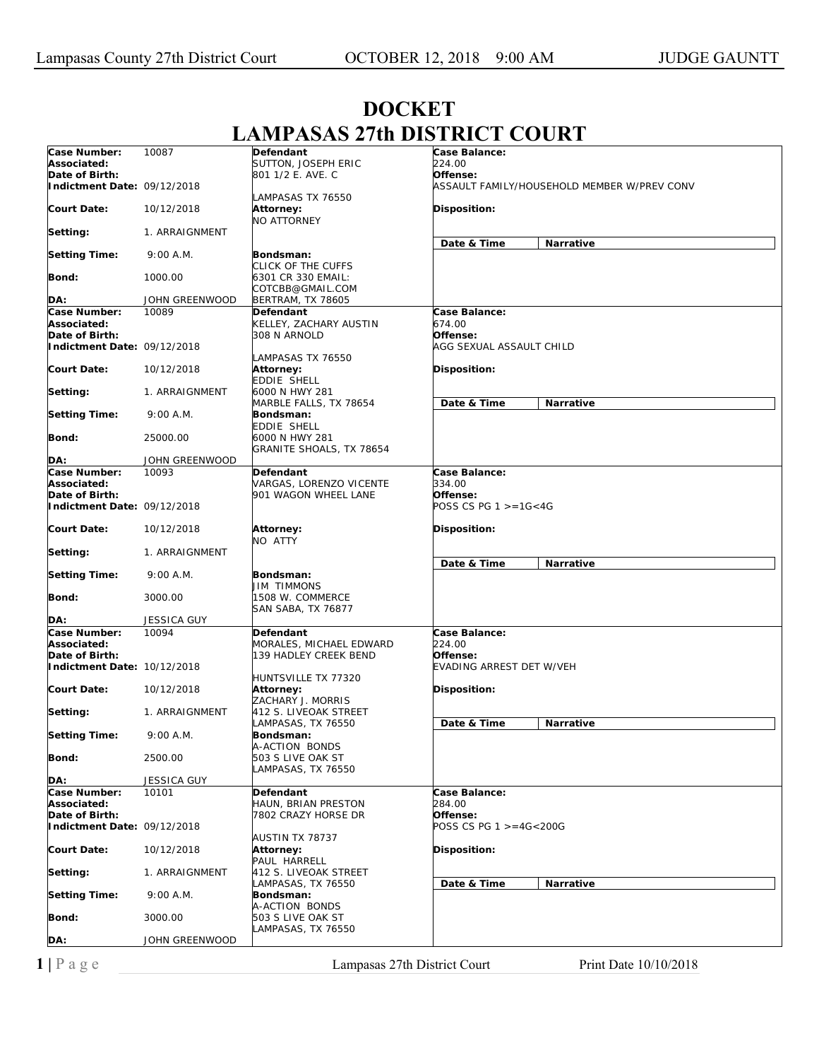## **Case Number: Associated: Date of Birth: Indictment Date:**  09/12/2018 **Court Date: Setting: Setting Time: Bond: DA:** 10087 10/12/2018 1. ARRAIGNMENT 9:00 A.M. 1000.00 JOHN GREENWOOD **Defendant**  SUTTON, JOSEPH ERIC 801 1/2 E. AVE. C LAMPASAS TX 76550 **Attorney:**  NO ATTORNEY **Bondsman:**  CLICK OF THE CUFFS 6301 CR 330 EMAIL: COTCBB@GMAIL.COM BERTRAM, TX 78605 **Case Balance:**  *224.00*  **Offense:**  *ASSAULT FAMILY/HOUSEHOLD MEMBER W/PREV CONV*  **Disposition: Date & Time Narrative Case Number: Associated: Date of Birth: Indictment Date:**  09/12/2018 **Court Date: Setting: Setting Time: Bond: DA:** 10089 10/12/2018 1. ARRAIGNMENT 9:00 A.M. 25000.00 JOHN GREENWOOD **Defendant**  KELLEY, ZACHARY AUSTIN 308 N ARNOLD LAMPASAS TX 76550 **Attorney:**  EDDIE SHELL 6000 N HWY 281 MARBLE FALLS, TX 78654 **Bondsman:**  EDDIE SHELL 6000 N HWY 281 GRANITE SHOALS, TX 78654 **Case Balance:**  *674.00*  **Offense:**  *AGG SEXUAL ASSAULT CHILD*  **Disposition: Date & Time Narrative Case Number: Associated: Date of Birth: Indictment Date: Court Date: Setting: Setting Time: Bond: DA:** 10093 09/12/2018 10/12/2018 1. ARRAIGNMENT 9:00 A.M. 3000.00 JESSICA GUY **Defendant**  VARGAS, LORENZO VICENTE 901 WAGON WHEEL LANE **Attorney:**  NO ATTY **Bondsman:**  JIM TIMMONS 1508 W. COMMERCE SAN SABA, TX 76877 **Case Balance:**  *334.00*  **Offense:**  *POSS CS PG 1 >=1G<4G*  **Disposition: Date & Time Narrative Case Number: Associated: Date of Birth: Indictment Date:**  10/12/2018 **Court Date: Setting: Setting Time: Bond: DA:** 10094 10/12/2018 1. ARRAIGNMENT 9:00 A.M. 2500.00 JESSICA GUY **Defendant**  MORALES, MICHAEL EDWARD 139 HADLEY CREEK BEND HUNTSVILLE TX 77320 **Attorney:**  ZACHARY J. MORRIS 412 S. LIVEOAK STREET LAMPASAS, TX 76550 **Bondsman:**  A-ACTION BONDS 503 S LIVE OAK ST LAMPASAS, TX 76550 **Case Balance:**  *224.00*  **Offense:**  *EVADING ARREST DET W/VEH*  **Disposition: Date & Time Narrative Case Number: Associated: Date of Birth: Indictment Date:**  09/12/2018 **Court Date: Setting: Setting Time: Bond: DA:** 10101 10/12/2018 1. ARRAIGNMENT 9:00 A.M. 3000.00 JOHN GREENWOOD **Defendant**  HAUN, BRIAN PRESTON 7802 CRAZY HORSE DR AUSTIN TX 78737 **Attorney:**  PAUL HARRELL 412 S. LIVEOAK STREET LAMPASAS, TX 76550 **Bondsman:**  A-ACTION BONDS 503 S LIVE OAK ST LAMPASAS, TX 76550 **Case Balance:**  *284.00*  **Offense:**  *POSS CS PG 1 >=4G<200G*  **Disposition: Date & Time Narrative**

## **DOCKET LAMPASAS 27th DISTRICT COURT**

**1** | P a g e Lampasas 27th District Court Print Date 10/10/2018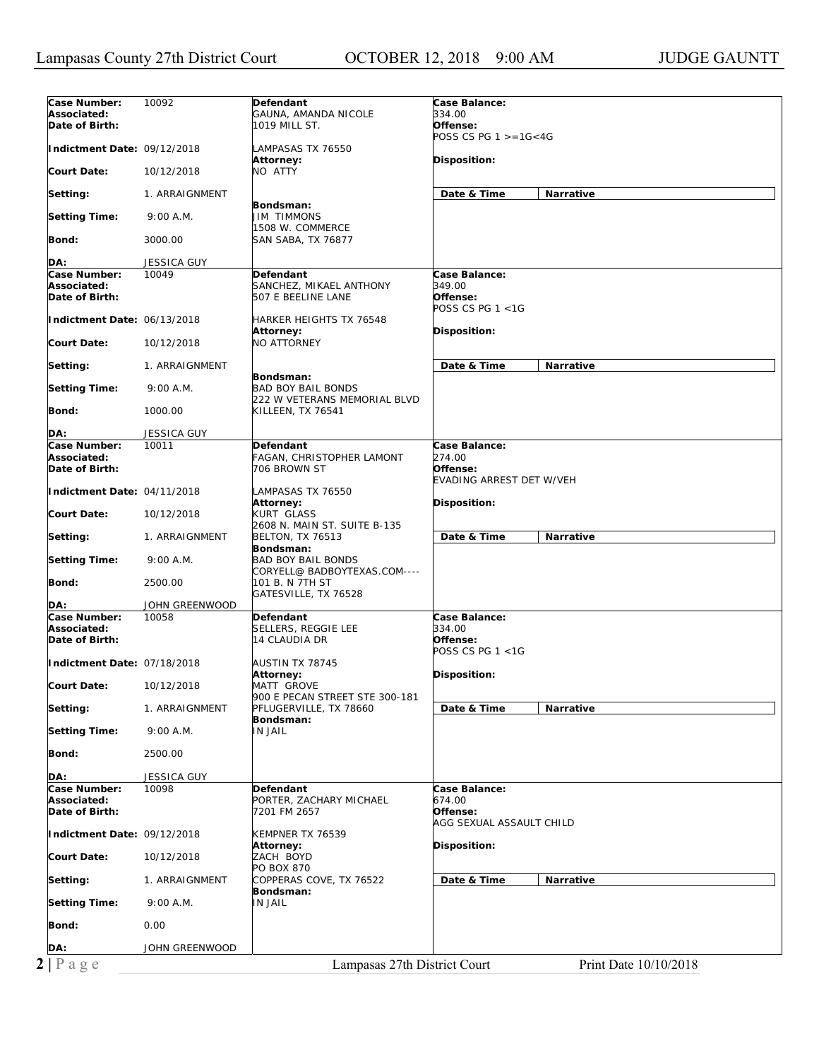|                             |                             |                                                           | POSS CS PG $1 > = 16 < 4G$      |
|-----------------------------|-----------------------------|-----------------------------------------------------------|---------------------------------|
| Indictment Date: 09/12/2018 |                             | LAMPASAS TX 76550<br>Attorney:                            | Disposition:                    |
| Court Date:                 | 10/12/2018                  | NO ATTY                                                   |                                 |
| Setting:                    | 1. ARRAIGNMENT              | Bondsman:                                                 | Date & Time<br><b>Narrative</b> |
| <b>Setting Time:</b>        | 9:00 A.M.                   | <b>JIM TIMMONS</b><br>1508 W. COMMERCE                    |                                 |
| Bond:                       | 3000.00                     | <b>SAN SABA, TX 76877</b>                                 |                                 |
| DA:                         | <b>JESSICA GUY</b>          |                                                           |                                 |
| Case Number:                | 10049                       | Defendant                                                 | Case Balance:                   |
| Associated:                 |                             | SANCHEZ, MIKAEL ANTHONY                                   | 349.00                          |
| Date of Birth:              |                             | 507 E BEELINE LANE                                        | Offense:                        |
| Indictment Date: 06/13/2018 |                             | <b>HARKER HEIGHTS TX 76548</b>                            | POSS CS PG $1 < 1G$             |
|                             |                             | Attorney:                                                 | Disposition:                    |
| Court Date:                 | 10/12/2018                  | <b>NO ATTORNEY</b>                                        |                                 |
| Setting:                    | 1. ARRAIGNMENT              |                                                           | Date & Time<br><b>Narrative</b> |
| <b>Setting Time:</b>        | 9:00 A.M.                   | Bondsman:<br><b>BAD BOY BAIL BONDS</b>                    |                                 |
| Bond:                       | 1000.00                     | 222 W VETERANS MEMORIAL BLVD<br>KILLEEN, TX 76541         |                                 |
| DA:                         | <b>JESSICA GUY</b>          |                                                           |                                 |
| Case Number:                | 10011                       | Defendant                                                 | Case Balance:                   |
| Associated:                 |                             | FAGAN, CHRISTOPHER LAMONT                                 | 274.00                          |
| Date of Birth:              |                             | 706 BROWN ST                                              | Offense:                        |
| Indictment Date: 04/11/2018 |                             |                                                           | <b>EVADING ARREST DET W/VEH</b> |
|                             |                             | LAMPASAS TX 76550<br>Attorney:                            | Disposition:                    |
| Court Date:                 | 10/12/2018                  | <b>KURT GLASS</b><br>2608 N. MAIN ST. SUITE B-135         |                                 |
| Setting:                    | 1. ARRAIGNMENT              | <b>BELTON, TX 76513</b><br>Bondsman:                      | Date & Time<br>Narrative        |
| <b>Setting Time:</b>        | 9:00 A.M.                   | <b>BAD BOY BAIL BONDS</b><br>CORYELL@ BADBOYTEXAS.COM---- |                                 |
| Bond:                       | 2500.00                     | 101 B. N 7TH ST<br>GATESVILLE, TX 76528                   |                                 |
| DA:                         | JOHN GREENWOOD              |                                                           |                                 |
| Case Number:                | 10058                       | Defendant                                                 | Case Balance:                   |
| Associated:                 |                             | SELLERS, REGGIE LEE                                       | 334.00                          |
| Date of Birth:              |                             | 14 CLAUDIA DR                                             | Offense:<br>POSS CS PG $1 < 1G$ |
|                             |                             |                                                           |                                 |
|                             |                             |                                                           |                                 |
|                             | Indictment Date: 07/18/2018 | AUSTIN TX 78745<br>Attorney:                              | Disposition:                    |
| Court Date:                 | 10/12/2018                  | <b>MATT GROVE</b>                                         |                                 |
|                             |                             | 900 E PECAN STREET STE 300-181                            |                                 |
| Setting:                    | 1. ARRAIGNMENT              | PFLUGERVILLE, TX 78660                                    | Date & Time<br>Narrative        |
| <b>Setting Time:</b>        | 9:00 A.M.                   | Bondsman:<br><b>IN JAIL</b>                               |                                 |
| <b>Bond:</b>                | 2500.00                     |                                                           |                                 |
| DA:                         | JESSICA GUY                 |                                                           |                                 |
| Case Number:                | 10098                       | Defendant                                                 | Case Balance:                   |
| Associated:                 |                             | PORTER, ZACHARY MICHAEL                                   | 674.00                          |
| Date of Birth:              |                             | 7201 FM 2657                                              | Offense:                        |
| Indictment Date: 09/12/2018 |                             | KEMPNER TX 76539                                          | AGG SEXUAL ASSAULT CHILD        |
| Court Date:                 | 10/12/2018                  | Attorney:<br>ZACH BOYD                                    | Disposition:                    |
|                             |                             | PO BOX 870                                                |                                 |
| Setting:                    | 1. ARRAIGNMENT              | COPPERAS COVE, TX 76522<br>Bondsman:                      | Date & Time<br>Narrative        |
| <b>Setting Time:</b>        | 9:00 A.M.                   | <b>IN JAIL</b>                                            |                                 |
| Bond:                       | 0.00                        |                                                           |                                 |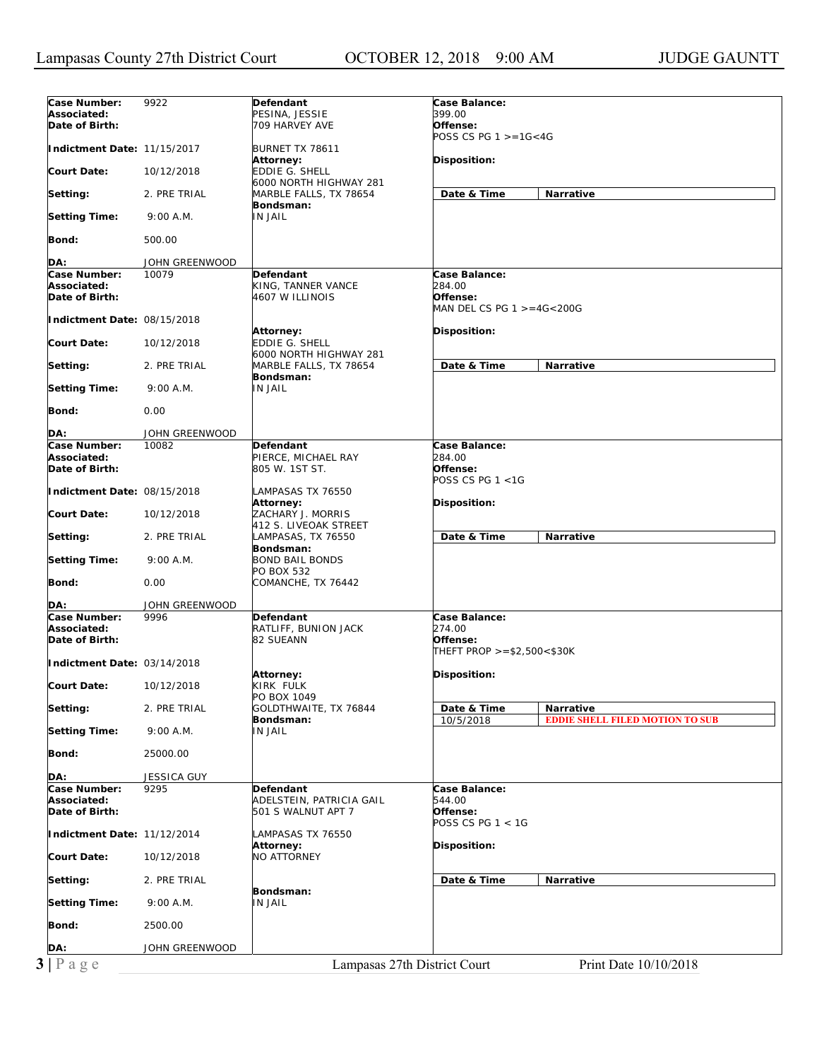| Case Number:<br>Case Balance:<br>9922<br>Defendant<br>399.00<br>Associated:<br>PESINA, JESSIE<br>Date of Birth:<br>709 HARVEY AVE<br>Offense:<br>POSS CS PG $1 > = 16 < 4G$<br>Indictment Date: 11/15/2017<br>BURNET TX 78611<br>Attorney:<br>Disposition:<br>Court Date:<br>10/12/2018<br>EDDIE G. SHELL<br>6000 NORTH HIGHWAY 281<br>Date & Time<br>Narrative<br>Setting:<br>2. PRE TRIAL<br>MARBLE FALLS, TX 78654<br>Bondsman:<br>IN JAIL<br><b>Setting Time:</b><br>9:00 A.M.<br><b>Bond:</b><br>500.00<br>DA:<br>JOHN GREENWOOD<br>Case Number:<br>10079<br>Case Balance:<br>Defendant<br>Associated:<br>284.00<br>KING, TANNER VANCE<br>Date of Birth:<br>Offense:<br>4607 W ILLINOIS<br>MAN DEL CS PG 1 >=4G<200G<br>Indictment Date: 08/15/2018<br><b>Disposition:</b><br>Attorney:<br>EDDIE G. SHELL<br>Court Date:<br>10/12/2018<br>6000 NORTH HIGHWAY 281<br>Date & Time<br><b>Narrative</b><br>Setting:<br>2. PRE TRIAL<br>MARBLE FALLS, TX 78654<br>Bondsman:<br><b>IN JAIL</b><br><b>Setting Time:</b><br>9:00 A.M.<br>0.00<br>Bond:<br>JOHN GREENWOOD<br>DA:<br>Case Number:<br>10082<br>Case Balance:<br>Defendant<br>Associated:<br>PIERCE, MICHAEL RAY<br>284.00<br>Date of Birth:<br>Offense:<br>805 W. 1ST ST.<br>POSS CS PG 1 <1G<br>Indictment Date: 08/15/2018<br>LAMPASAS TX 76550<br>Attorney:<br><b>Disposition:</b><br>Court Date:<br>ZACHARY J. MORRIS<br>10/12/2018<br>412 S. LIVEOAK STREET<br>Date & Time<br>Narrative<br>Setting:<br>2. PRE TRIAL<br>LAMPASAS, TX 76550<br>Bondsman:<br>Setting Time:<br>9:00 A.M.<br><b>BOND BAIL BONDS</b><br>PO BOX 532<br>Bond:<br>0.00<br>COMANCHE, TX 76442<br>DA:<br>JOHN GREENWOOD<br>Case Number:<br>9996<br>Case Balance:<br>Defendant<br>Associated:<br>RATLIFF, BUNION JACK<br>274.00<br>82 SUEANN<br>Offense:<br>Date of Birth:<br>THEFT PROP $>= $2,500 < $30K$<br>Indictment Date: 03/14/2018<br>Disposition:<br>Attorney:<br>10/12/2018<br>KIRK FULK<br><b>Court Date:</b><br>PO BOX 1049<br>GOLDTHWAITE, TX 76844<br>Date & Time<br>Setting:<br>2. PRE TRIAL<br>Narrative<br>Bondsman:<br><b>EDDIE SHELL FILED MOTION TO SUB</b><br>10/5/2018<br><b>Setting Time:</b><br>IN JAIL<br>9:00 A.M.<br>Bond:<br>25000.00<br>DA:<br>JESSICA GUY<br>Case Number:<br>Case Balance:<br>9295<br><b>Defendant</b><br>Associated:<br>ADELSTEIN, PATRICIA GAIL<br>544.00<br>Date of Birth:<br>501 S WALNUT APT 7<br>Offense:<br>POSS CS PG 1 < 1G<br>Indictment Date: 11/12/2014<br>LAMPASAS TX 76550<br>Attorney:<br>Disposition:<br>NO ATTORNEY<br><b>Court Date:</b><br>10/12/2018<br>Date & Time<br>Setting:<br>2. PRE TRIAL<br>Narrative<br>Bondsman:<br><b>Setting Time:</b><br>9:00 A.M.<br><b>IN JAIL</b><br>Bond:<br>2500.00<br>JOHN GREENWOOD<br>DA:<br>$3 P \text{ age}$<br>Lampasas 27th District Court<br>Print Date 10/10/2018 |  |  |
|------------------------------------------------------------------------------------------------------------------------------------------------------------------------------------------------------------------------------------------------------------------------------------------------------------------------------------------------------------------------------------------------------------------------------------------------------------------------------------------------------------------------------------------------------------------------------------------------------------------------------------------------------------------------------------------------------------------------------------------------------------------------------------------------------------------------------------------------------------------------------------------------------------------------------------------------------------------------------------------------------------------------------------------------------------------------------------------------------------------------------------------------------------------------------------------------------------------------------------------------------------------------------------------------------------------------------------------------------------------------------------------------------------------------------------------------------------------------------------------------------------------------------------------------------------------------------------------------------------------------------------------------------------------------------------------------------------------------------------------------------------------------------------------------------------------------------------------------------------------------------------------------------------------------------------------------------------------------------------------------------------------------------------------------------------------------------------------------------------------------------------------------------------------------------------------------------------------------------------------------------------------------------------------------------------------------------------------------------------------------------------------------------------------------------------------------------------------------------------------------------------------------------------------------------------------------------------------------------------------------------------------------------------------------------------------------------------------------------------------------------------------------------------------------------------------|--|--|
|                                                                                                                                                                                                                                                                                                                                                                                                                                                                                                                                                                                                                                                                                                                                                                                                                                                                                                                                                                                                                                                                                                                                                                                                                                                                                                                                                                                                                                                                                                                                                                                                                                                                                                                                                                                                                                                                                                                                                                                                                                                                                                                                                                                                                                                                                                                                                                                                                                                                                                                                                                                                                                                                                                                                                                                                                  |  |  |
|                                                                                                                                                                                                                                                                                                                                                                                                                                                                                                                                                                                                                                                                                                                                                                                                                                                                                                                                                                                                                                                                                                                                                                                                                                                                                                                                                                                                                                                                                                                                                                                                                                                                                                                                                                                                                                                                                                                                                                                                                                                                                                                                                                                                                                                                                                                                                                                                                                                                                                                                                                                                                                                                                                                                                                                                                  |  |  |
|                                                                                                                                                                                                                                                                                                                                                                                                                                                                                                                                                                                                                                                                                                                                                                                                                                                                                                                                                                                                                                                                                                                                                                                                                                                                                                                                                                                                                                                                                                                                                                                                                                                                                                                                                                                                                                                                                                                                                                                                                                                                                                                                                                                                                                                                                                                                                                                                                                                                                                                                                                                                                                                                                                                                                                                                                  |  |  |
|                                                                                                                                                                                                                                                                                                                                                                                                                                                                                                                                                                                                                                                                                                                                                                                                                                                                                                                                                                                                                                                                                                                                                                                                                                                                                                                                                                                                                                                                                                                                                                                                                                                                                                                                                                                                                                                                                                                                                                                                                                                                                                                                                                                                                                                                                                                                                                                                                                                                                                                                                                                                                                                                                                                                                                                                                  |  |  |
|                                                                                                                                                                                                                                                                                                                                                                                                                                                                                                                                                                                                                                                                                                                                                                                                                                                                                                                                                                                                                                                                                                                                                                                                                                                                                                                                                                                                                                                                                                                                                                                                                                                                                                                                                                                                                                                                                                                                                                                                                                                                                                                                                                                                                                                                                                                                                                                                                                                                                                                                                                                                                                                                                                                                                                                                                  |  |  |
|                                                                                                                                                                                                                                                                                                                                                                                                                                                                                                                                                                                                                                                                                                                                                                                                                                                                                                                                                                                                                                                                                                                                                                                                                                                                                                                                                                                                                                                                                                                                                                                                                                                                                                                                                                                                                                                                                                                                                                                                                                                                                                                                                                                                                                                                                                                                                                                                                                                                                                                                                                                                                                                                                                                                                                                                                  |  |  |
|                                                                                                                                                                                                                                                                                                                                                                                                                                                                                                                                                                                                                                                                                                                                                                                                                                                                                                                                                                                                                                                                                                                                                                                                                                                                                                                                                                                                                                                                                                                                                                                                                                                                                                                                                                                                                                                                                                                                                                                                                                                                                                                                                                                                                                                                                                                                                                                                                                                                                                                                                                                                                                                                                                                                                                                                                  |  |  |
|                                                                                                                                                                                                                                                                                                                                                                                                                                                                                                                                                                                                                                                                                                                                                                                                                                                                                                                                                                                                                                                                                                                                                                                                                                                                                                                                                                                                                                                                                                                                                                                                                                                                                                                                                                                                                                                                                                                                                                                                                                                                                                                                                                                                                                                                                                                                                                                                                                                                                                                                                                                                                                                                                                                                                                                                                  |  |  |
|                                                                                                                                                                                                                                                                                                                                                                                                                                                                                                                                                                                                                                                                                                                                                                                                                                                                                                                                                                                                                                                                                                                                                                                                                                                                                                                                                                                                                                                                                                                                                                                                                                                                                                                                                                                                                                                                                                                                                                                                                                                                                                                                                                                                                                                                                                                                                                                                                                                                                                                                                                                                                                                                                                                                                                                                                  |  |  |
|                                                                                                                                                                                                                                                                                                                                                                                                                                                                                                                                                                                                                                                                                                                                                                                                                                                                                                                                                                                                                                                                                                                                                                                                                                                                                                                                                                                                                                                                                                                                                                                                                                                                                                                                                                                                                                                                                                                                                                                                                                                                                                                                                                                                                                                                                                                                                                                                                                                                                                                                                                                                                                                                                                                                                                                                                  |  |  |
|                                                                                                                                                                                                                                                                                                                                                                                                                                                                                                                                                                                                                                                                                                                                                                                                                                                                                                                                                                                                                                                                                                                                                                                                                                                                                                                                                                                                                                                                                                                                                                                                                                                                                                                                                                                                                                                                                                                                                                                                                                                                                                                                                                                                                                                                                                                                                                                                                                                                                                                                                                                                                                                                                                                                                                                                                  |  |  |
|                                                                                                                                                                                                                                                                                                                                                                                                                                                                                                                                                                                                                                                                                                                                                                                                                                                                                                                                                                                                                                                                                                                                                                                                                                                                                                                                                                                                                                                                                                                                                                                                                                                                                                                                                                                                                                                                                                                                                                                                                                                                                                                                                                                                                                                                                                                                                                                                                                                                                                                                                                                                                                                                                                                                                                                                                  |  |  |
|                                                                                                                                                                                                                                                                                                                                                                                                                                                                                                                                                                                                                                                                                                                                                                                                                                                                                                                                                                                                                                                                                                                                                                                                                                                                                                                                                                                                                                                                                                                                                                                                                                                                                                                                                                                                                                                                                                                                                                                                                                                                                                                                                                                                                                                                                                                                                                                                                                                                                                                                                                                                                                                                                                                                                                                                                  |  |  |
|                                                                                                                                                                                                                                                                                                                                                                                                                                                                                                                                                                                                                                                                                                                                                                                                                                                                                                                                                                                                                                                                                                                                                                                                                                                                                                                                                                                                                                                                                                                                                                                                                                                                                                                                                                                                                                                                                                                                                                                                                                                                                                                                                                                                                                                                                                                                                                                                                                                                                                                                                                                                                                                                                                                                                                                                                  |  |  |
|                                                                                                                                                                                                                                                                                                                                                                                                                                                                                                                                                                                                                                                                                                                                                                                                                                                                                                                                                                                                                                                                                                                                                                                                                                                                                                                                                                                                                                                                                                                                                                                                                                                                                                                                                                                                                                                                                                                                                                                                                                                                                                                                                                                                                                                                                                                                                                                                                                                                                                                                                                                                                                                                                                                                                                                                                  |  |  |
|                                                                                                                                                                                                                                                                                                                                                                                                                                                                                                                                                                                                                                                                                                                                                                                                                                                                                                                                                                                                                                                                                                                                                                                                                                                                                                                                                                                                                                                                                                                                                                                                                                                                                                                                                                                                                                                                                                                                                                                                                                                                                                                                                                                                                                                                                                                                                                                                                                                                                                                                                                                                                                                                                                                                                                                                                  |  |  |
|                                                                                                                                                                                                                                                                                                                                                                                                                                                                                                                                                                                                                                                                                                                                                                                                                                                                                                                                                                                                                                                                                                                                                                                                                                                                                                                                                                                                                                                                                                                                                                                                                                                                                                                                                                                                                                                                                                                                                                                                                                                                                                                                                                                                                                                                                                                                                                                                                                                                                                                                                                                                                                                                                                                                                                                                                  |  |  |
|                                                                                                                                                                                                                                                                                                                                                                                                                                                                                                                                                                                                                                                                                                                                                                                                                                                                                                                                                                                                                                                                                                                                                                                                                                                                                                                                                                                                                                                                                                                                                                                                                                                                                                                                                                                                                                                                                                                                                                                                                                                                                                                                                                                                                                                                                                                                                                                                                                                                                                                                                                                                                                                                                                                                                                                                                  |  |  |
|                                                                                                                                                                                                                                                                                                                                                                                                                                                                                                                                                                                                                                                                                                                                                                                                                                                                                                                                                                                                                                                                                                                                                                                                                                                                                                                                                                                                                                                                                                                                                                                                                                                                                                                                                                                                                                                                                                                                                                                                                                                                                                                                                                                                                                                                                                                                                                                                                                                                                                                                                                                                                                                                                                                                                                                                                  |  |  |
|                                                                                                                                                                                                                                                                                                                                                                                                                                                                                                                                                                                                                                                                                                                                                                                                                                                                                                                                                                                                                                                                                                                                                                                                                                                                                                                                                                                                                                                                                                                                                                                                                                                                                                                                                                                                                                                                                                                                                                                                                                                                                                                                                                                                                                                                                                                                                                                                                                                                                                                                                                                                                                                                                                                                                                                                                  |  |  |
|                                                                                                                                                                                                                                                                                                                                                                                                                                                                                                                                                                                                                                                                                                                                                                                                                                                                                                                                                                                                                                                                                                                                                                                                                                                                                                                                                                                                                                                                                                                                                                                                                                                                                                                                                                                                                                                                                                                                                                                                                                                                                                                                                                                                                                                                                                                                                                                                                                                                                                                                                                                                                                                                                                                                                                                                                  |  |  |
|                                                                                                                                                                                                                                                                                                                                                                                                                                                                                                                                                                                                                                                                                                                                                                                                                                                                                                                                                                                                                                                                                                                                                                                                                                                                                                                                                                                                                                                                                                                                                                                                                                                                                                                                                                                                                                                                                                                                                                                                                                                                                                                                                                                                                                                                                                                                                                                                                                                                                                                                                                                                                                                                                                                                                                                                                  |  |  |
|                                                                                                                                                                                                                                                                                                                                                                                                                                                                                                                                                                                                                                                                                                                                                                                                                                                                                                                                                                                                                                                                                                                                                                                                                                                                                                                                                                                                                                                                                                                                                                                                                                                                                                                                                                                                                                                                                                                                                                                                                                                                                                                                                                                                                                                                                                                                                                                                                                                                                                                                                                                                                                                                                                                                                                                                                  |  |  |
|                                                                                                                                                                                                                                                                                                                                                                                                                                                                                                                                                                                                                                                                                                                                                                                                                                                                                                                                                                                                                                                                                                                                                                                                                                                                                                                                                                                                                                                                                                                                                                                                                                                                                                                                                                                                                                                                                                                                                                                                                                                                                                                                                                                                                                                                                                                                                                                                                                                                                                                                                                                                                                                                                                                                                                                                                  |  |  |
|                                                                                                                                                                                                                                                                                                                                                                                                                                                                                                                                                                                                                                                                                                                                                                                                                                                                                                                                                                                                                                                                                                                                                                                                                                                                                                                                                                                                                                                                                                                                                                                                                                                                                                                                                                                                                                                                                                                                                                                                                                                                                                                                                                                                                                                                                                                                                                                                                                                                                                                                                                                                                                                                                                                                                                                                                  |  |  |
|                                                                                                                                                                                                                                                                                                                                                                                                                                                                                                                                                                                                                                                                                                                                                                                                                                                                                                                                                                                                                                                                                                                                                                                                                                                                                                                                                                                                                                                                                                                                                                                                                                                                                                                                                                                                                                                                                                                                                                                                                                                                                                                                                                                                                                                                                                                                                                                                                                                                                                                                                                                                                                                                                                                                                                                                                  |  |  |
|                                                                                                                                                                                                                                                                                                                                                                                                                                                                                                                                                                                                                                                                                                                                                                                                                                                                                                                                                                                                                                                                                                                                                                                                                                                                                                                                                                                                                                                                                                                                                                                                                                                                                                                                                                                                                                                                                                                                                                                                                                                                                                                                                                                                                                                                                                                                                                                                                                                                                                                                                                                                                                                                                                                                                                                                                  |  |  |
|                                                                                                                                                                                                                                                                                                                                                                                                                                                                                                                                                                                                                                                                                                                                                                                                                                                                                                                                                                                                                                                                                                                                                                                                                                                                                                                                                                                                                                                                                                                                                                                                                                                                                                                                                                                                                                                                                                                                                                                                                                                                                                                                                                                                                                                                                                                                                                                                                                                                                                                                                                                                                                                                                                                                                                                                                  |  |  |
|                                                                                                                                                                                                                                                                                                                                                                                                                                                                                                                                                                                                                                                                                                                                                                                                                                                                                                                                                                                                                                                                                                                                                                                                                                                                                                                                                                                                                                                                                                                                                                                                                                                                                                                                                                                                                                                                                                                                                                                                                                                                                                                                                                                                                                                                                                                                                                                                                                                                                                                                                                                                                                                                                                                                                                                                                  |  |  |
|                                                                                                                                                                                                                                                                                                                                                                                                                                                                                                                                                                                                                                                                                                                                                                                                                                                                                                                                                                                                                                                                                                                                                                                                                                                                                                                                                                                                                                                                                                                                                                                                                                                                                                                                                                                                                                                                                                                                                                                                                                                                                                                                                                                                                                                                                                                                                                                                                                                                                                                                                                                                                                                                                                                                                                                                                  |  |  |
|                                                                                                                                                                                                                                                                                                                                                                                                                                                                                                                                                                                                                                                                                                                                                                                                                                                                                                                                                                                                                                                                                                                                                                                                                                                                                                                                                                                                                                                                                                                                                                                                                                                                                                                                                                                                                                                                                                                                                                                                                                                                                                                                                                                                                                                                                                                                                                                                                                                                                                                                                                                                                                                                                                                                                                                                                  |  |  |
|                                                                                                                                                                                                                                                                                                                                                                                                                                                                                                                                                                                                                                                                                                                                                                                                                                                                                                                                                                                                                                                                                                                                                                                                                                                                                                                                                                                                                                                                                                                                                                                                                                                                                                                                                                                                                                                                                                                                                                                                                                                                                                                                                                                                                                                                                                                                                                                                                                                                                                                                                                                                                                                                                                                                                                                                                  |  |  |
|                                                                                                                                                                                                                                                                                                                                                                                                                                                                                                                                                                                                                                                                                                                                                                                                                                                                                                                                                                                                                                                                                                                                                                                                                                                                                                                                                                                                                                                                                                                                                                                                                                                                                                                                                                                                                                                                                                                                                                                                                                                                                                                                                                                                                                                                                                                                                                                                                                                                                                                                                                                                                                                                                                                                                                                                                  |  |  |
|                                                                                                                                                                                                                                                                                                                                                                                                                                                                                                                                                                                                                                                                                                                                                                                                                                                                                                                                                                                                                                                                                                                                                                                                                                                                                                                                                                                                                                                                                                                                                                                                                                                                                                                                                                                                                                                                                                                                                                                                                                                                                                                                                                                                                                                                                                                                                                                                                                                                                                                                                                                                                                                                                                                                                                                                                  |  |  |
|                                                                                                                                                                                                                                                                                                                                                                                                                                                                                                                                                                                                                                                                                                                                                                                                                                                                                                                                                                                                                                                                                                                                                                                                                                                                                                                                                                                                                                                                                                                                                                                                                                                                                                                                                                                                                                                                                                                                                                                                                                                                                                                                                                                                                                                                                                                                                                                                                                                                                                                                                                                                                                                                                                                                                                                                                  |  |  |
|                                                                                                                                                                                                                                                                                                                                                                                                                                                                                                                                                                                                                                                                                                                                                                                                                                                                                                                                                                                                                                                                                                                                                                                                                                                                                                                                                                                                                                                                                                                                                                                                                                                                                                                                                                                                                                                                                                                                                                                                                                                                                                                                                                                                                                                                                                                                                                                                                                                                                                                                                                                                                                                                                                                                                                                                                  |  |  |
|                                                                                                                                                                                                                                                                                                                                                                                                                                                                                                                                                                                                                                                                                                                                                                                                                                                                                                                                                                                                                                                                                                                                                                                                                                                                                                                                                                                                                                                                                                                                                                                                                                                                                                                                                                                                                                                                                                                                                                                                                                                                                                                                                                                                                                                                                                                                                                                                                                                                                                                                                                                                                                                                                                                                                                                                                  |  |  |
|                                                                                                                                                                                                                                                                                                                                                                                                                                                                                                                                                                                                                                                                                                                                                                                                                                                                                                                                                                                                                                                                                                                                                                                                                                                                                                                                                                                                                                                                                                                                                                                                                                                                                                                                                                                                                                                                                                                                                                                                                                                                                                                                                                                                                                                                                                                                                                                                                                                                                                                                                                                                                                                                                                                                                                                                                  |  |  |
|                                                                                                                                                                                                                                                                                                                                                                                                                                                                                                                                                                                                                                                                                                                                                                                                                                                                                                                                                                                                                                                                                                                                                                                                                                                                                                                                                                                                                                                                                                                                                                                                                                                                                                                                                                                                                                                                                                                                                                                                                                                                                                                                                                                                                                                                                                                                                                                                                                                                                                                                                                                                                                                                                                                                                                                                                  |  |  |
|                                                                                                                                                                                                                                                                                                                                                                                                                                                                                                                                                                                                                                                                                                                                                                                                                                                                                                                                                                                                                                                                                                                                                                                                                                                                                                                                                                                                                                                                                                                                                                                                                                                                                                                                                                                                                                                                                                                                                                                                                                                                                                                                                                                                                                                                                                                                                                                                                                                                                                                                                                                                                                                                                                                                                                                                                  |  |  |
|                                                                                                                                                                                                                                                                                                                                                                                                                                                                                                                                                                                                                                                                                                                                                                                                                                                                                                                                                                                                                                                                                                                                                                                                                                                                                                                                                                                                                                                                                                                                                                                                                                                                                                                                                                                                                                                                                                                                                                                                                                                                                                                                                                                                                                                                                                                                                                                                                                                                                                                                                                                                                                                                                                                                                                                                                  |  |  |
|                                                                                                                                                                                                                                                                                                                                                                                                                                                                                                                                                                                                                                                                                                                                                                                                                                                                                                                                                                                                                                                                                                                                                                                                                                                                                                                                                                                                                                                                                                                                                                                                                                                                                                                                                                                                                                                                                                                                                                                                                                                                                                                                                                                                                                                                                                                                                                                                                                                                                                                                                                                                                                                                                                                                                                                                                  |  |  |
|                                                                                                                                                                                                                                                                                                                                                                                                                                                                                                                                                                                                                                                                                                                                                                                                                                                                                                                                                                                                                                                                                                                                                                                                                                                                                                                                                                                                                                                                                                                                                                                                                                                                                                                                                                                                                                                                                                                                                                                                                                                                                                                                                                                                                                                                                                                                                                                                                                                                                                                                                                                                                                                                                                                                                                                                                  |  |  |
|                                                                                                                                                                                                                                                                                                                                                                                                                                                                                                                                                                                                                                                                                                                                                                                                                                                                                                                                                                                                                                                                                                                                                                                                                                                                                                                                                                                                                                                                                                                                                                                                                                                                                                                                                                                                                                                                                                                                                                                                                                                                                                                                                                                                                                                                                                                                                                                                                                                                                                                                                                                                                                                                                                                                                                                                                  |  |  |
|                                                                                                                                                                                                                                                                                                                                                                                                                                                                                                                                                                                                                                                                                                                                                                                                                                                                                                                                                                                                                                                                                                                                                                                                                                                                                                                                                                                                                                                                                                                                                                                                                                                                                                                                                                                                                                                                                                                                                                                                                                                                                                                                                                                                                                                                                                                                                                                                                                                                                                                                                                                                                                                                                                                                                                                                                  |  |  |
|                                                                                                                                                                                                                                                                                                                                                                                                                                                                                                                                                                                                                                                                                                                                                                                                                                                                                                                                                                                                                                                                                                                                                                                                                                                                                                                                                                                                                                                                                                                                                                                                                                                                                                                                                                                                                                                                                                                                                                                                                                                                                                                                                                                                                                                                                                                                                                                                                                                                                                                                                                                                                                                                                                                                                                                                                  |  |  |
|                                                                                                                                                                                                                                                                                                                                                                                                                                                                                                                                                                                                                                                                                                                                                                                                                                                                                                                                                                                                                                                                                                                                                                                                                                                                                                                                                                                                                                                                                                                                                                                                                                                                                                                                                                                                                                                                                                                                                                                                                                                                                                                                                                                                                                                                                                                                                                                                                                                                                                                                                                                                                                                                                                                                                                                                                  |  |  |
|                                                                                                                                                                                                                                                                                                                                                                                                                                                                                                                                                                                                                                                                                                                                                                                                                                                                                                                                                                                                                                                                                                                                                                                                                                                                                                                                                                                                                                                                                                                                                                                                                                                                                                                                                                                                                                                                                                                                                                                                                                                                                                                                                                                                                                                                                                                                                                                                                                                                                                                                                                                                                                                                                                                                                                                                                  |  |  |
|                                                                                                                                                                                                                                                                                                                                                                                                                                                                                                                                                                                                                                                                                                                                                                                                                                                                                                                                                                                                                                                                                                                                                                                                                                                                                                                                                                                                                                                                                                                                                                                                                                                                                                                                                                                                                                                                                                                                                                                                                                                                                                                                                                                                                                                                                                                                                                                                                                                                                                                                                                                                                                                                                                                                                                                                                  |  |  |
|                                                                                                                                                                                                                                                                                                                                                                                                                                                                                                                                                                                                                                                                                                                                                                                                                                                                                                                                                                                                                                                                                                                                                                                                                                                                                                                                                                                                                                                                                                                                                                                                                                                                                                                                                                                                                                                                                                                                                                                                                                                                                                                                                                                                                                                                                                                                                                                                                                                                                                                                                                                                                                                                                                                                                                                                                  |  |  |
|                                                                                                                                                                                                                                                                                                                                                                                                                                                                                                                                                                                                                                                                                                                                                                                                                                                                                                                                                                                                                                                                                                                                                                                                                                                                                                                                                                                                                                                                                                                                                                                                                                                                                                                                                                                                                                                                                                                                                                                                                                                                                                                                                                                                                                                                                                                                                                                                                                                                                                                                                                                                                                                                                                                                                                                                                  |  |  |
|                                                                                                                                                                                                                                                                                                                                                                                                                                                                                                                                                                                                                                                                                                                                                                                                                                                                                                                                                                                                                                                                                                                                                                                                                                                                                                                                                                                                                                                                                                                                                                                                                                                                                                                                                                                                                                                                                                                                                                                                                                                                                                                                                                                                                                                                                                                                                                                                                                                                                                                                                                                                                                                                                                                                                                                                                  |  |  |
|                                                                                                                                                                                                                                                                                                                                                                                                                                                                                                                                                                                                                                                                                                                                                                                                                                                                                                                                                                                                                                                                                                                                                                                                                                                                                                                                                                                                                                                                                                                                                                                                                                                                                                                                                                                                                                                                                                                                                                                                                                                                                                                                                                                                                                                                                                                                                                                                                                                                                                                                                                                                                                                                                                                                                                                                                  |  |  |
|                                                                                                                                                                                                                                                                                                                                                                                                                                                                                                                                                                                                                                                                                                                                                                                                                                                                                                                                                                                                                                                                                                                                                                                                                                                                                                                                                                                                                                                                                                                                                                                                                                                                                                                                                                                                                                                                                                                                                                                                                                                                                                                                                                                                                                                                                                                                                                                                                                                                                                                                                                                                                                                                                                                                                                                                                  |  |  |
|                                                                                                                                                                                                                                                                                                                                                                                                                                                                                                                                                                                                                                                                                                                                                                                                                                                                                                                                                                                                                                                                                                                                                                                                                                                                                                                                                                                                                                                                                                                                                                                                                                                                                                                                                                                                                                                                                                                                                                                                                                                                                                                                                                                                                                                                                                                                                                                                                                                                                                                                                                                                                                                                                                                                                                                                                  |  |  |
|                                                                                                                                                                                                                                                                                                                                                                                                                                                                                                                                                                                                                                                                                                                                                                                                                                                                                                                                                                                                                                                                                                                                                                                                                                                                                                                                                                                                                                                                                                                                                                                                                                                                                                                                                                                                                                                                                                                                                                                                                                                                                                                                                                                                                                                                                                                                                                                                                                                                                                                                                                                                                                                                                                                                                                                                                  |  |  |
|                                                                                                                                                                                                                                                                                                                                                                                                                                                                                                                                                                                                                                                                                                                                                                                                                                                                                                                                                                                                                                                                                                                                                                                                                                                                                                                                                                                                                                                                                                                                                                                                                                                                                                                                                                                                                                                                                                                                                                                                                                                                                                                                                                                                                                                                                                                                                                                                                                                                                                                                                                                                                                                                                                                                                                                                                  |  |  |
|                                                                                                                                                                                                                                                                                                                                                                                                                                                                                                                                                                                                                                                                                                                                                                                                                                                                                                                                                                                                                                                                                                                                                                                                                                                                                                                                                                                                                                                                                                                                                                                                                                                                                                                                                                                                                                                                                                                                                                                                                                                                                                                                                                                                                                                                                                                                                                                                                                                                                                                                                                                                                                                                                                                                                                                                                  |  |  |
|                                                                                                                                                                                                                                                                                                                                                                                                                                                                                                                                                                                                                                                                                                                                                                                                                                                                                                                                                                                                                                                                                                                                                                                                                                                                                                                                                                                                                                                                                                                                                                                                                                                                                                                                                                                                                                                                                                                                                                                                                                                                                                                                                                                                                                                                                                                                                                                                                                                                                                                                                                                                                                                                                                                                                                                                                  |  |  |
|                                                                                                                                                                                                                                                                                                                                                                                                                                                                                                                                                                                                                                                                                                                                                                                                                                                                                                                                                                                                                                                                                                                                                                                                                                                                                                                                                                                                                                                                                                                                                                                                                                                                                                                                                                                                                                                                                                                                                                                                                                                                                                                                                                                                                                                                                                                                                                                                                                                                                                                                                                                                                                                                                                                                                                                                                  |  |  |
|                                                                                                                                                                                                                                                                                                                                                                                                                                                                                                                                                                                                                                                                                                                                                                                                                                                                                                                                                                                                                                                                                                                                                                                                                                                                                                                                                                                                                                                                                                                                                                                                                                                                                                                                                                                                                                                                                                                                                                                                                                                                                                                                                                                                                                                                                                                                                                                                                                                                                                                                                                                                                                                                                                                                                                                                                  |  |  |
|                                                                                                                                                                                                                                                                                                                                                                                                                                                                                                                                                                                                                                                                                                                                                                                                                                                                                                                                                                                                                                                                                                                                                                                                                                                                                                                                                                                                                                                                                                                                                                                                                                                                                                                                                                                                                                                                                                                                                                                                                                                                                                                                                                                                                                                                                                                                                                                                                                                                                                                                                                                                                                                                                                                                                                                                                  |  |  |
|                                                                                                                                                                                                                                                                                                                                                                                                                                                                                                                                                                                                                                                                                                                                                                                                                                                                                                                                                                                                                                                                                                                                                                                                                                                                                                                                                                                                                                                                                                                                                                                                                                                                                                                                                                                                                                                                                                                                                                                                                                                                                                                                                                                                                                                                                                                                                                                                                                                                                                                                                                                                                                                                                                                                                                                                                  |  |  |
|                                                                                                                                                                                                                                                                                                                                                                                                                                                                                                                                                                                                                                                                                                                                                                                                                                                                                                                                                                                                                                                                                                                                                                                                                                                                                                                                                                                                                                                                                                                                                                                                                                                                                                                                                                                                                                                                                                                                                                                                                                                                                                                                                                                                                                                                                                                                                                                                                                                                                                                                                                                                                                                                                                                                                                                                                  |  |  |
|                                                                                                                                                                                                                                                                                                                                                                                                                                                                                                                                                                                                                                                                                                                                                                                                                                                                                                                                                                                                                                                                                                                                                                                                                                                                                                                                                                                                                                                                                                                                                                                                                                                                                                                                                                                                                                                                                                                                                                                                                                                                                                                                                                                                                                                                                                                                                                                                                                                                                                                                                                                                                                                                                                                                                                                                                  |  |  |
|                                                                                                                                                                                                                                                                                                                                                                                                                                                                                                                                                                                                                                                                                                                                                                                                                                                                                                                                                                                                                                                                                                                                                                                                                                                                                                                                                                                                                                                                                                                                                                                                                                                                                                                                                                                                                                                                                                                                                                                                                                                                                                                                                                                                                                                                                                                                                                                                                                                                                                                                                                                                                                                                                                                                                                                                                  |  |  |
|                                                                                                                                                                                                                                                                                                                                                                                                                                                                                                                                                                                                                                                                                                                                                                                                                                                                                                                                                                                                                                                                                                                                                                                                                                                                                                                                                                                                                                                                                                                                                                                                                                                                                                                                                                                                                                                                                                                                                                                                                                                                                                                                                                                                                                                                                                                                                                                                                                                                                                                                                                                                                                                                                                                                                                                                                  |  |  |
|                                                                                                                                                                                                                                                                                                                                                                                                                                                                                                                                                                                                                                                                                                                                                                                                                                                                                                                                                                                                                                                                                                                                                                                                                                                                                                                                                                                                                                                                                                                                                                                                                                                                                                                                                                                                                                                                                                                                                                                                                                                                                                                                                                                                                                                                                                                                                                                                                                                                                                                                                                                                                                                                                                                                                                                                                  |  |  |
|                                                                                                                                                                                                                                                                                                                                                                                                                                                                                                                                                                                                                                                                                                                                                                                                                                                                                                                                                                                                                                                                                                                                                                                                                                                                                                                                                                                                                                                                                                                                                                                                                                                                                                                                                                                                                                                                                                                                                                                                                                                                                                                                                                                                                                                                                                                                                                                                                                                                                                                                                                                                                                                                                                                                                                                                                  |  |  |
|                                                                                                                                                                                                                                                                                                                                                                                                                                                                                                                                                                                                                                                                                                                                                                                                                                                                                                                                                                                                                                                                                                                                                                                                                                                                                                                                                                                                                                                                                                                                                                                                                                                                                                                                                                                                                                                                                                                                                                                                                                                                                                                                                                                                                                                                                                                                                                                                                                                                                                                                                                                                                                                                                                                                                                                                                  |  |  |
|                                                                                                                                                                                                                                                                                                                                                                                                                                                                                                                                                                                                                                                                                                                                                                                                                                                                                                                                                                                                                                                                                                                                                                                                                                                                                                                                                                                                                                                                                                                                                                                                                                                                                                                                                                                                                                                                                                                                                                                                                                                                                                                                                                                                                                                                                                                                                                                                                                                                                                                                                                                                                                                                                                                                                                                                                  |  |  |
|                                                                                                                                                                                                                                                                                                                                                                                                                                                                                                                                                                                                                                                                                                                                                                                                                                                                                                                                                                                                                                                                                                                                                                                                                                                                                                                                                                                                                                                                                                                                                                                                                                                                                                                                                                                                                                                                                                                                                                                                                                                                                                                                                                                                                                                                                                                                                                                                                                                                                                                                                                                                                                                                                                                                                                                                                  |  |  |
|                                                                                                                                                                                                                                                                                                                                                                                                                                                                                                                                                                                                                                                                                                                                                                                                                                                                                                                                                                                                                                                                                                                                                                                                                                                                                                                                                                                                                                                                                                                                                                                                                                                                                                                                                                                                                                                                                                                                                                                                                                                                                                                                                                                                                                                                                                                                                                                                                                                                                                                                                                                                                                                                                                                                                                                                                  |  |  |
|                                                                                                                                                                                                                                                                                                                                                                                                                                                                                                                                                                                                                                                                                                                                                                                                                                                                                                                                                                                                                                                                                                                                                                                                                                                                                                                                                                                                                                                                                                                                                                                                                                                                                                                                                                                                                                                                                                                                                                                                                                                                                                                                                                                                                                                                                                                                                                                                                                                                                                                                                                                                                                                                                                                                                                                                                  |  |  |
|                                                                                                                                                                                                                                                                                                                                                                                                                                                                                                                                                                                                                                                                                                                                                                                                                                                                                                                                                                                                                                                                                                                                                                                                                                                                                                                                                                                                                                                                                                                                                                                                                                                                                                                                                                                                                                                                                                                                                                                                                                                                                                                                                                                                                                                                                                                                                                                                                                                                                                                                                                                                                                                                                                                                                                                                                  |  |  |
|                                                                                                                                                                                                                                                                                                                                                                                                                                                                                                                                                                                                                                                                                                                                                                                                                                                                                                                                                                                                                                                                                                                                                                                                                                                                                                                                                                                                                                                                                                                                                                                                                                                                                                                                                                                                                                                                                                                                                                                                                                                                                                                                                                                                                                                                                                                                                                                                                                                                                                                                                                                                                                                                                                                                                                                                                  |  |  |
|                                                                                                                                                                                                                                                                                                                                                                                                                                                                                                                                                                                                                                                                                                                                                                                                                                                                                                                                                                                                                                                                                                                                                                                                                                                                                                                                                                                                                                                                                                                                                                                                                                                                                                                                                                                                                                                                                                                                                                                                                                                                                                                                                                                                                                                                                                                                                                                                                                                                                                                                                                                                                                                                                                                                                                                                                  |  |  |
|                                                                                                                                                                                                                                                                                                                                                                                                                                                                                                                                                                                                                                                                                                                                                                                                                                                                                                                                                                                                                                                                                                                                                                                                                                                                                                                                                                                                                                                                                                                                                                                                                                                                                                                                                                                                                                                                                                                                                                                                                                                                                                                                                                                                                                                                                                                                                                                                                                                                                                                                                                                                                                                                                                                                                                                                                  |  |  |
|                                                                                                                                                                                                                                                                                                                                                                                                                                                                                                                                                                                                                                                                                                                                                                                                                                                                                                                                                                                                                                                                                                                                                                                                                                                                                                                                                                                                                                                                                                                                                                                                                                                                                                                                                                                                                                                                                                                                                                                                                                                                                                                                                                                                                                                                                                                                                                                                                                                                                                                                                                                                                                                                                                                                                                                                                  |  |  |
|                                                                                                                                                                                                                                                                                                                                                                                                                                                                                                                                                                                                                                                                                                                                                                                                                                                                                                                                                                                                                                                                                                                                                                                                                                                                                                                                                                                                                                                                                                                                                                                                                                                                                                                                                                                                                                                                                                                                                                                                                                                                                                                                                                                                                                                                                                                                                                                                                                                                                                                                                                                                                                                                                                                                                                                                                  |  |  |
|                                                                                                                                                                                                                                                                                                                                                                                                                                                                                                                                                                                                                                                                                                                                                                                                                                                                                                                                                                                                                                                                                                                                                                                                                                                                                                                                                                                                                                                                                                                                                                                                                                                                                                                                                                                                                                                                                                                                                                                                                                                                                                                                                                                                                                                                                                                                                                                                                                                                                                                                                                                                                                                                                                                                                                                                                  |  |  |
|                                                                                                                                                                                                                                                                                                                                                                                                                                                                                                                                                                                                                                                                                                                                                                                                                                                                                                                                                                                                                                                                                                                                                                                                                                                                                                                                                                                                                                                                                                                                                                                                                                                                                                                                                                                                                                                                                                                                                                                                                                                                                                                                                                                                                                                                                                                                                                                                                                                                                                                                                                                                                                                                                                                                                                                                                  |  |  |
|                                                                                                                                                                                                                                                                                                                                                                                                                                                                                                                                                                                                                                                                                                                                                                                                                                                                                                                                                                                                                                                                                                                                                                                                                                                                                                                                                                                                                                                                                                                                                                                                                                                                                                                                                                                                                                                                                                                                                                                                                                                                                                                                                                                                                                                                                                                                                                                                                                                                                                                                                                                                                                                                                                                                                                                                                  |  |  |
|                                                                                                                                                                                                                                                                                                                                                                                                                                                                                                                                                                                                                                                                                                                                                                                                                                                                                                                                                                                                                                                                                                                                                                                                                                                                                                                                                                                                                                                                                                                                                                                                                                                                                                                                                                                                                                                                                                                                                                                                                                                                                                                                                                                                                                                                                                                                                                                                                                                                                                                                                                                                                                                                                                                                                                                                                  |  |  |
|                                                                                                                                                                                                                                                                                                                                                                                                                                                                                                                                                                                                                                                                                                                                                                                                                                                                                                                                                                                                                                                                                                                                                                                                                                                                                                                                                                                                                                                                                                                                                                                                                                                                                                                                                                                                                                                                                                                                                                                                                                                                                                                                                                                                                                                                                                                                                                                                                                                                                                                                                                                                                                                                                                                                                                                                                  |  |  |
|                                                                                                                                                                                                                                                                                                                                                                                                                                                                                                                                                                                                                                                                                                                                                                                                                                                                                                                                                                                                                                                                                                                                                                                                                                                                                                                                                                                                                                                                                                                                                                                                                                                                                                                                                                                                                                                                                                                                                                                                                                                                                                                                                                                                                                                                                                                                                                                                                                                                                                                                                                                                                                                                                                                                                                                                                  |  |  |
|                                                                                                                                                                                                                                                                                                                                                                                                                                                                                                                                                                                                                                                                                                                                                                                                                                                                                                                                                                                                                                                                                                                                                                                                                                                                                                                                                                                                                                                                                                                                                                                                                                                                                                                                                                                                                                                                                                                                                                                                                                                                                                                                                                                                                                                                                                                                                                                                                                                                                                                                                                                                                                                                                                                                                                                                                  |  |  |
|                                                                                                                                                                                                                                                                                                                                                                                                                                                                                                                                                                                                                                                                                                                                                                                                                                                                                                                                                                                                                                                                                                                                                                                                                                                                                                                                                                                                                                                                                                                                                                                                                                                                                                                                                                                                                                                                                                                                                                                                                                                                                                                                                                                                                                                                                                                                                                                                                                                                                                                                                                                                                                                                                                                                                                                                                  |  |  |
|                                                                                                                                                                                                                                                                                                                                                                                                                                                                                                                                                                                                                                                                                                                                                                                                                                                                                                                                                                                                                                                                                                                                                                                                                                                                                                                                                                                                                                                                                                                                                                                                                                                                                                                                                                                                                                                                                                                                                                                                                                                                                                                                                                                                                                                                                                                                                                                                                                                                                                                                                                                                                                                                                                                                                                                                                  |  |  |
|                                                                                                                                                                                                                                                                                                                                                                                                                                                                                                                                                                                                                                                                                                                                                                                                                                                                                                                                                                                                                                                                                                                                                                                                                                                                                                                                                                                                                                                                                                                                                                                                                                                                                                                                                                                                                                                                                                                                                                                                                                                                                                                                                                                                                                                                                                                                                                                                                                                                                                                                                                                                                                                                                                                                                                                                                  |  |  |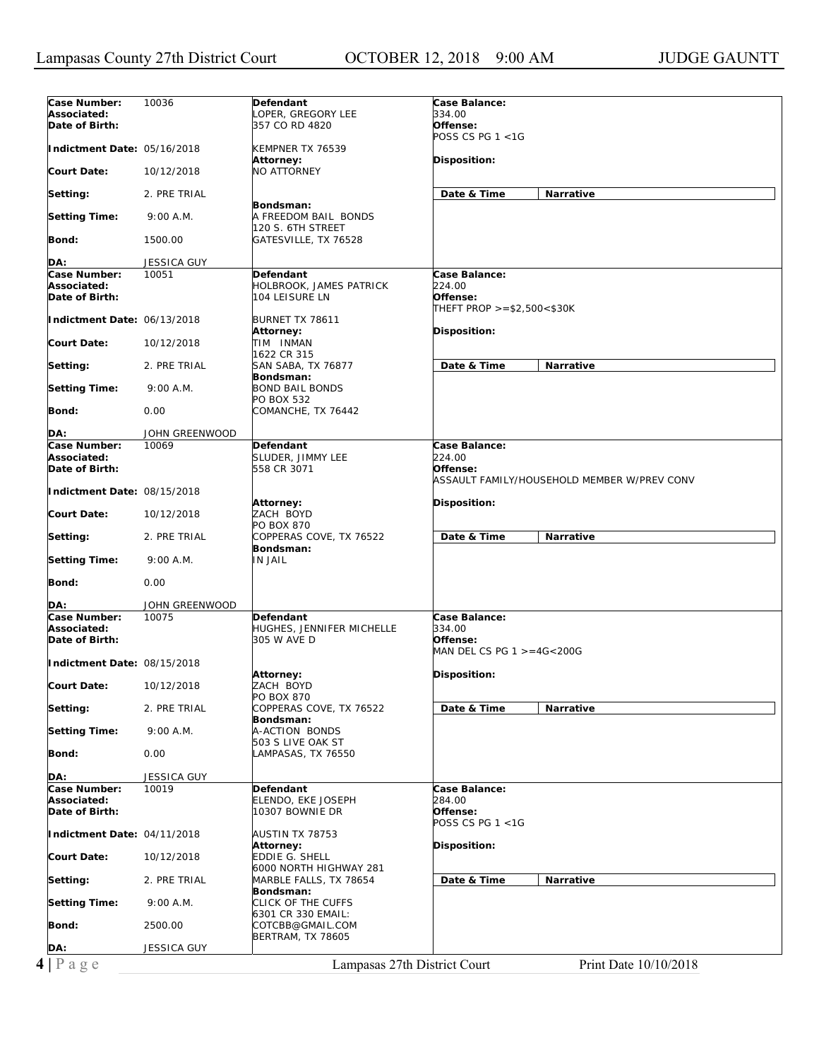| Case Number:                   | 10036                       | Defendant                      | <b>Case Balance:</b>                        |
|--------------------------------|-----------------------------|--------------------------------|---------------------------------------------|
| Associated:                    |                             | Loper, Gregory Lee             | 334.00                                      |
| Date of Birth:                 |                             | 357 CO RD 4820                 | Offense:                                    |
|                                |                             |                                | POSS CS PG $1 < 1G$                         |
|                                |                             |                                |                                             |
| Indictment Date: 05/16/2018    |                             | KEMPNER TX 76539               |                                             |
|                                |                             | Attorney:                      | Disposition:                                |
| <b>Court Date:</b>             | 10/12/2018                  | <b>NO ATTORNEY</b>             |                                             |
|                                |                             |                                |                                             |
| Setting:                       | 2. PRE TRIAL                |                                | Date & Time<br>Narrative                    |
|                                |                             | Bondsman:                      |                                             |
| <b>Setting Time:</b>           | 9:00 A.M.                   | A FREEDOM BAIL BONDS           |                                             |
|                                |                             | 120 S. 6TH STREET              |                                             |
| Bond:                          | 1500.00                     | GATESVILLE, TX 76528           |                                             |
|                                |                             |                                |                                             |
| DA:                            | JESSICA GUY                 |                                |                                             |
| Case Number:                   | 10051                       | Defendant                      | Case Balance:                               |
| Associated:                    |                             | <b>HOLBROOK, JAMES PATRICK</b> | 224.00                                      |
| Date of Birth:                 |                             | 104 LEISURE LN                 | Offense:                                    |
|                                |                             |                                |                                             |
|                                |                             |                                | THEFT PROP >=\$2,500<\$30K                  |
| Indictment Date: 06/13/2018    |                             | BURNET TX 78611                |                                             |
|                                |                             | Attorney:                      | Disposition:                                |
| <b>Court Date:</b>             | 10/12/2018                  | TIM INMAN                      |                                             |
|                                |                             | 1622 CR 315                    |                                             |
| Setting:                       | 2. PRE TRIAL                | SAN SABA, TX 76877             | Date & Time<br>Narrative                    |
|                                |                             | Bondsman:                      |                                             |
| <b>Setting Time:</b>           | 9:00 A.M.                   | <b>BOND BAIL BONDS</b>         |                                             |
|                                |                             | <b>PO BOX 532</b>              |                                             |
| Bond:                          | 0.00                        | COMANCHE, TX 76442             |                                             |
|                                |                             |                                |                                             |
| DA:                            | JOHN GREENWOOD              |                                |                                             |
| Case Number:                   | 10069                       | Defendant                      | Case Balance:                               |
| Associated:                    |                             |                                | 224.00                                      |
|                                |                             | SLUDER, JIMMY LEE              |                                             |
| Date of Birth:                 |                             | 558 CR 3071                    | Offense:                                    |
|                                |                             |                                | ASSAULT FAMILY/HOUSEHOLD MEMBER W/PREV CONV |
| Indictment Date: 08/15/2018    |                             |                                |                                             |
|                                |                             | Attorney:                      | Disposition:                                |
| <b>Court Date:</b>             | 10/12/2018                  | ZACH BOYD                      |                                             |
|                                |                             | <b>PO BOX 870</b>              |                                             |
| Setting:                       | 2. PRE TRIAL                | COPPERAS COVE, TX 76522        | Date & Time<br>Narrative                    |
|                                |                             | Bondsman:                      |                                             |
| <b>Setting Time:</b>           | 9:00 A.M.                   | <b>IN JAIL</b>                 |                                             |
|                                |                             |                                |                                             |
| Bond:                          | 0.00                        |                                |                                             |
|                                |                             |                                |                                             |
| DA:                            | JOHN GREENWOOD              |                                |                                             |
| Case Number:                   | 10075                       | Defendant                      | Case Balance:                               |
| Associated:                    |                             | HUGHES, JENNIFER MICHELLE      | 334.00                                      |
| Date of Birth:                 |                             | 305 W AVE D                    | Offense:                                    |
|                                |                             |                                |                                             |
|                                |                             |                                |                                             |
|                                |                             |                                | MAN DEL CS PG $1 > = 4G < 200G$             |
|                                | Indictment Date: 08/15/2018 |                                |                                             |
|                                |                             | <b>Attorney:</b>               | Disposition:                                |
|                                | 10/12/2018                  | ZACH BOYD                      |                                             |
| <b>Court Date:</b>             |                             | PO BOX 870                     |                                             |
|                                | 2. PRE TRIAL                | COPPERAS COVE, TX 76522        | Date & Time<br>Narrative                    |
| Setting:                       |                             | Bondsman:                      |                                             |
| <b>Setting Time:</b>           | 9:00 A.M.                   | A-ACTION BONDS                 |                                             |
|                                |                             | 503 S LIVE OAK ST              |                                             |
|                                | 0.00                        | LAMPASAS, TX 76550             |                                             |
| Bond:                          |                             |                                |                                             |
|                                |                             |                                |                                             |
| DA:                            | JESSICA GUY                 |                                |                                             |
| Case Number:                   | 10019                       | Defendant                      | Case Balance:                               |
| Associated:                    |                             | ELENDO, EKE JOSEPH             | 284.00                                      |
| Date of Birth:                 |                             | 10307 BOWNIE DR                | Offense:                                    |
|                                |                             |                                | POSS CS PG $1 < 1G$                         |
| Indictment Date: 04/11/2018    |                             | AUSTIN TX 78753                |                                             |
|                                |                             | Attorney:                      | Disposition:                                |
|                                | 10/12/2018                  | EDDIE G. SHELL                 |                                             |
|                                |                             | 6000 NORTH HIGHWAY 281         |                                             |
| <b>Court Date:</b><br>Setting: | 2. PRE TRIAL                | MARBLE FALLS, TX 78654         | Date & Time<br>Narrative                    |
|                                |                             | Bondsman:                      |                                             |
| <b>Setting Time:</b>           | 9:00 A.M.                   | CLICK OF THE CUFFS             |                                             |
|                                |                             | 6301 CR 330 EMAIL:             |                                             |
| Bond:                          | 2500.00                     | COTCBB@GMAIL.COM               |                                             |
|                                |                             | <b>BERTRAM, TX 78605</b>       |                                             |
| DA:                            | JESSICA GUY                 |                                |                                             |
| $4 P$ a g e                    |                             | Lampasas 27th District Court   | Print Date 10/10/2018                       |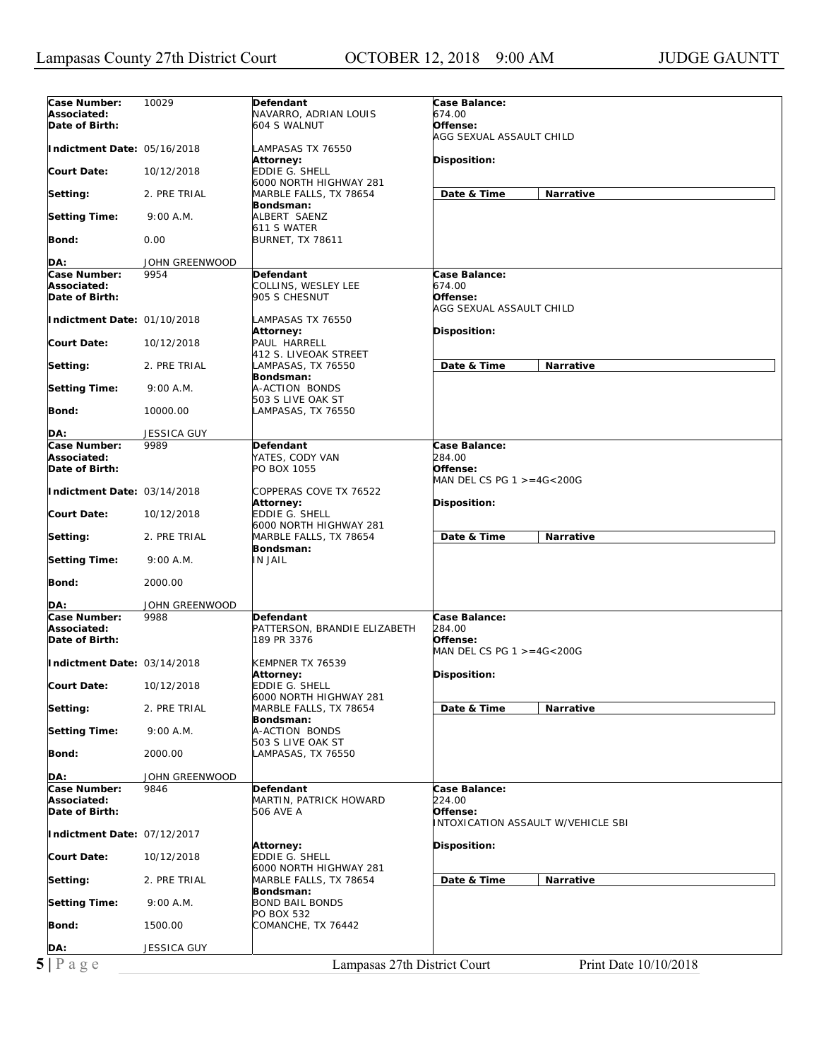| Associated:<br>674.00<br>NAVARRO, ADRIAN LOUIS<br>604 S WALNUT<br>Offense:<br>Date of Birth:<br>AGG SEXUAL ASSAULT CHILD<br>Indictment Date: 05/16/2018<br>LAMPASAS TX 76550<br>Disposition:<br><b>Attorney:</b><br><b>Court Date:</b><br><b>EDDIE G. SHELL</b><br>10/12/2018<br>6000 NORTH HIGHWAY 281<br>Date & Time<br>Narrative<br>2. PRE TRIAL<br>MARBLE FALLS, TX 78654<br>Setting:<br>Bondsman:<br>9:00 A.M.<br>ALBERT SAENZ<br>611 S WATER<br>Bond:<br>0.00<br><b>BURNET, TX 78611</b><br>DA:<br>JOHN GREENWOOD<br>Case Number:<br>9954<br>Case Balance:<br><b>Defendant</b><br>Associated:<br>674.00<br>COLLINS, WESLEY LEE<br>Date of Birth:<br>905 S CHESNUT<br>Offense:<br>AGG SEXUAL ASSAULT CHILD<br>Indictment Date: 01/10/2018<br>LAMPASAS TX 76550<br>Attorney:<br>Disposition:<br><b>Court Date:</b><br>10/12/2018<br>PAUL HARRELL<br>412 S. LIVEOAK STREET<br>Date & Time<br>Narrative<br>2. PRE TRIAL<br>LAMPASAS, TX 76550<br>Bondsman:<br>A-ACTION BONDS<br>9:00 A.M.<br>503 S LIVE OAK ST<br>Bond:<br>10000.00<br>LAMPASAS, TX 76550<br>DA:<br><b>JESSICA GUY</b><br>9989<br>Case Balance:<br>Defendant<br>YATES, CODY VAN<br>284.00<br>Offense:<br>PO BOX 1055<br>MAN DEL CS PG $1 > = 4G < 200G$<br>Indictment Date: 03/14/2018<br>COPPERAS COVE TX 76522<br>Disposition:<br>Attorney:<br>EDDIE G. SHELL<br><b>Court Date:</b><br>10/12/2018<br>6000 NORTH HIGHWAY 281<br>Date & Time<br>2. PRE TRIAL<br>MARBLE FALLS, TX 78654<br><b>Narrative</b><br>Bondsman:<br><b>IN JAIL</b><br><b>Setting Time:</b><br>9:00 A.M.<br>Bond:<br>2000.00<br>JOHN GREENWOOD<br>Case Number:<br>9988<br>Case Balance:<br>Defendant<br>Associated:<br>PATTERSON, BRANDIE ELIZABETH<br>284.00<br>Offense:<br>Date of Birth:<br>189 PR 3376<br>MAN DEL CS PG $1 > = 4G < 200G$<br>Indictment Date: 03/14/2018<br>KEMPNER TX 76539<br>Disposition:<br>Attorney:<br>EDDIE G. SHELL<br>10/12/2018<br>6000 NORTH HIGHWAY 281<br>Date & Time<br>Narrative<br>2. PRE TRIAL<br>MARBLE FALLS, TX 78654<br>Bondsman:<br><b>Setting Time:</b><br>A-ACTION BONDS<br>9:00 A.M.<br>503 S LIVE OAK ST<br>Bond:<br>2000.00<br>LAMPASAS, TX 76550<br>JOHN GREENWOOD<br>Case Number:<br>Case Balance:<br>9846<br>Defendant<br>224.00<br>Associated:<br>MARTIN, PATRICK HOWARD<br>Date of Birth:<br>Offense:<br>506 AVE A<br><b>INTOXICATION ASSAULT W/VEHICLE SBI</b><br>Indictment Date: 07/12/2017<br>Disposition:<br>Attorney:<br><b>EDDIE G. SHELL</b><br>10/12/2018<br>6000 NORTH HIGHWAY 281<br>Date & Time<br>2. PRE TRIAL<br>MARBLE FALLS, TX 78654<br>Narrative<br>Bondsman:<br><b>BOND BAIL BONDS</b><br><b>Setting Time:</b><br>9:00 A.M.<br>PO BOX 532<br>1500.00<br>COMANCHE, TX 76442<br>JESSICA GUY<br>5 Page<br>Lampasas 27th District Court<br>Print Date 10/10/2018 | Case Number:         | 10029 | Defendant | Case Balance: |
|-----------------------------------------------------------------------------------------------------------------------------------------------------------------------------------------------------------------------------------------------------------------------------------------------------------------------------------------------------------------------------------------------------------------------------------------------------------------------------------------------------------------------------------------------------------------------------------------------------------------------------------------------------------------------------------------------------------------------------------------------------------------------------------------------------------------------------------------------------------------------------------------------------------------------------------------------------------------------------------------------------------------------------------------------------------------------------------------------------------------------------------------------------------------------------------------------------------------------------------------------------------------------------------------------------------------------------------------------------------------------------------------------------------------------------------------------------------------------------------------------------------------------------------------------------------------------------------------------------------------------------------------------------------------------------------------------------------------------------------------------------------------------------------------------------------------------------------------------------------------------------------------------------------------------------------------------------------------------------------------------------------------------------------------------------------------------------------------------------------------------------------------------------------------------------------------------------------------------------------------------------------------------------------------------------------------------------------------------------------------------------------------------------------------------------------------------------------------------------------------------------------------------------------------------------------------------------------------------------------------------------------------------------------------------------------------------------------------------------------------------------------------------------|----------------------|-------|-----------|---------------|
|                                                                                                                                                                                                                                                                                                                                                                                                                                                                                                                                                                                                                                                                                                                                                                                                                                                                                                                                                                                                                                                                                                                                                                                                                                                                                                                                                                                                                                                                                                                                                                                                                                                                                                                                                                                                                                                                                                                                                                                                                                                                                                                                                                                                                                                                                                                                                                                                                                                                                                                                                                                                                                                                                                                                                                             |                      |       |           |               |
|                                                                                                                                                                                                                                                                                                                                                                                                                                                                                                                                                                                                                                                                                                                                                                                                                                                                                                                                                                                                                                                                                                                                                                                                                                                                                                                                                                                                                                                                                                                                                                                                                                                                                                                                                                                                                                                                                                                                                                                                                                                                                                                                                                                                                                                                                                                                                                                                                                                                                                                                                                                                                                                                                                                                                                             |                      |       |           |               |
|                                                                                                                                                                                                                                                                                                                                                                                                                                                                                                                                                                                                                                                                                                                                                                                                                                                                                                                                                                                                                                                                                                                                                                                                                                                                                                                                                                                                                                                                                                                                                                                                                                                                                                                                                                                                                                                                                                                                                                                                                                                                                                                                                                                                                                                                                                                                                                                                                                                                                                                                                                                                                                                                                                                                                                             |                      |       |           |               |
|                                                                                                                                                                                                                                                                                                                                                                                                                                                                                                                                                                                                                                                                                                                                                                                                                                                                                                                                                                                                                                                                                                                                                                                                                                                                                                                                                                                                                                                                                                                                                                                                                                                                                                                                                                                                                                                                                                                                                                                                                                                                                                                                                                                                                                                                                                                                                                                                                                                                                                                                                                                                                                                                                                                                                                             |                      |       |           |               |
|                                                                                                                                                                                                                                                                                                                                                                                                                                                                                                                                                                                                                                                                                                                                                                                                                                                                                                                                                                                                                                                                                                                                                                                                                                                                                                                                                                                                                                                                                                                                                                                                                                                                                                                                                                                                                                                                                                                                                                                                                                                                                                                                                                                                                                                                                                                                                                                                                                                                                                                                                                                                                                                                                                                                                                             |                      |       |           |               |
|                                                                                                                                                                                                                                                                                                                                                                                                                                                                                                                                                                                                                                                                                                                                                                                                                                                                                                                                                                                                                                                                                                                                                                                                                                                                                                                                                                                                                                                                                                                                                                                                                                                                                                                                                                                                                                                                                                                                                                                                                                                                                                                                                                                                                                                                                                                                                                                                                                                                                                                                                                                                                                                                                                                                                                             |                      |       |           |               |
|                                                                                                                                                                                                                                                                                                                                                                                                                                                                                                                                                                                                                                                                                                                                                                                                                                                                                                                                                                                                                                                                                                                                                                                                                                                                                                                                                                                                                                                                                                                                                                                                                                                                                                                                                                                                                                                                                                                                                                                                                                                                                                                                                                                                                                                                                                                                                                                                                                                                                                                                                                                                                                                                                                                                                                             |                      |       |           |               |
|                                                                                                                                                                                                                                                                                                                                                                                                                                                                                                                                                                                                                                                                                                                                                                                                                                                                                                                                                                                                                                                                                                                                                                                                                                                                                                                                                                                                                                                                                                                                                                                                                                                                                                                                                                                                                                                                                                                                                                                                                                                                                                                                                                                                                                                                                                                                                                                                                                                                                                                                                                                                                                                                                                                                                                             |                      |       |           |               |
|                                                                                                                                                                                                                                                                                                                                                                                                                                                                                                                                                                                                                                                                                                                                                                                                                                                                                                                                                                                                                                                                                                                                                                                                                                                                                                                                                                                                                                                                                                                                                                                                                                                                                                                                                                                                                                                                                                                                                                                                                                                                                                                                                                                                                                                                                                                                                                                                                                                                                                                                                                                                                                                                                                                                                                             | <b>Setting Time:</b> |       |           |               |
|                                                                                                                                                                                                                                                                                                                                                                                                                                                                                                                                                                                                                                                                                                                                                                                                                                                                                                                                                                                                                                                                                                                                                                                                                                                                                                                                                                                                                                                                                                                                                                                                                                                                                                                                                                                                                                                                                                                                                                                                                                                                                                                                                                                                                                                                                                                                                                                                                                                                                                                                                                                                                                                                                                                                                                             |                      |       |           |               |
|                                                                                                                                                                                                                                                                                                                                                                                                                                                                                                                                                                                                                                                                                                                                                                                                                                                                                                                                                                                                                                                                                                                                                                                                                                                                                                                                                                                                                                                                                                                                                                                                                                                                                                                                                                                                                                                                                                                                                                                                                                                                                                                                                                                                                                                                                                                                                                                                                                                                                                                                                                                                                                                                                                                                                                             |                      |       |           |               |
|                                                                                                                                                                                                                                                                                                                                                                                                                                                                                                                                                                                                                                                                                                                                                                                                                                                                                                                                                                                                                                                                                                                                                                                                                                                                                                                                                                                                                                                                                                                                                                                                                                                                                                                                                                                                                                                                                                                                                                                                                                                                                                                                                                                                                                                                                                                                                                                                                                                                                                                                                                                                                                                                                                                                                                             |                      |       |           |               |
|                                                                                                                                                                                                                                                                                                                                                                                                                                                                                                                                                                                                                                                                                                                                                                                                                                                                                                                                                                                                                                                                                                                                                                                                                                                                                                                                                                                                                                                                                                                                                                                                                                                                                                                                                                                                                                                                                                                                                                                                                                                                                                                                                                                                                                                                                                                                                                                                                                                                                                                                                                                                                                                                                                                                                                             |                      |       |           |               |
|                                                                                                                                                                                                                                                                                                                                                                                                                                                                                                                                                                                                                                                                                                                                                                                                                                                                                                                                                                                                                                                                                                                                                                                                                                                                                                                                                                                                                                                                                                                                                                                                                                                                                                                                                                                                                                                                                                                                                                                                                                                                                                                                                                                                                                                                                                                                                                                                                                                                                                                                                                                                                                                                                                                                                                             |                      |       |           |               |
|                                                                                                                                                                                                                                                                                                                                                                                                                                                                                                                                                                                                                                                                                                                                                                                                                                                                                                                                                                                                                                                                                                                                                                                                                                                                                                                                                                                                                                                                                                                                                                                                                                                                                                                                                                                                                                                                                                                                                                                                                                                                                                                                                                                                                                                                                                                                                                                                                                                                                                                                                                                                                                                                                                                                                                             |                      |       |           |               |
|                                                                                                                                                                                                                                                                                                                                                                                                                                                                                                                                                                                                                                                                                                                                                                                                                                                                                                                                                                                                                                                                                                                                                                                                                                                                                                                                                                                                                                                                                                                                                                                                                                                                                                                                                                                                                                                                                                                                                                                                                                                                                                                                                                                                                                                                                                                                                                                                                                                                                                                                                                                                                                                                                                                                                                             |                      |       |           |               |
|                                                                                                                                                                                                                                                                                                                                                                                                                                                                                                                                                                                                                                                                                                                                                                                                                                                                                                                                                                                                                                                                                                                                                                                                                                                                                                                                                                                                                                                                                                                                                                                                                                                                                                                                                                                                                                                                                                                                                                                                                                                                                                                                                                                                                                                                                                                                                                                                                                                                                                                                                                                                                                                                                                                                                                             |                      |       |           |               |
|                                                                                                                                                                                                                                                                                                                                                                                                                                                                                                                                                                                                                                                                                                                                                                                                                                                                                                                                                                                                                                                                                                                                                                                                                                                                                                                                                                                                                                                                                                                                                                                                                                                                                                                                                                                                                                                                                                                                                                                                                                                                                                                                                                                                                                                                                                                                                                                                                                                                                                                                                                                                                                                                                                                                                                             |                      |       |           |               |
|                                                                                                                                                                                                                                                                                                                                                                                                                                                                                                                                                                                                                                                                                                                                                                                                                                                                                                                                                                                                                                                                                                                                                                                                                                                                                                                                                                                                                                                                                                                                                                                                                                                                                                                                                                                                                                                                                                                                                                                                                                                                                                                                                                                                                                                                                                                                                                                                                                                                                                                                                                                                                                                                                                                                                                             |                      |       |           |               |
|                                                                                                                                                                                                                                                                                                                                                                                                                                                                                                                                                                                                                                                                                                                                                                                                                                                                                                                                                                                                                                                                                                                                                                                                                                                                                                                                                                                                                                                                                                                                                                                                                                                                                                                                                                                                                                                                                                                                                                                                                                                                                                                                                                                                                                                                                                                                                                                                                                                                                                                                                                                                                                                                                                                                                                             | Setting:             |       |           |               |
|                                                                                                                                                                                                                                                                                                                                                                                                                                                                                                                                                                                                                                                                                                                                                                                                                                                                                                                                                                                                                                                                                                                                                                                                                                                                                                                                                                                                                                                                                                                                                                                                                                                                                                                                                                                                                                                                                                                                                                                                                                                                                                                                                                                                                                                                                                                                                                                                                                                                                                                                                                                                                                                                                                                                                                             |                      |       |           |               |
|                                                                                                                                                                                                                                                                                                                                                                                                                                                                                                                                                                                                                                                                                                                                                                                                                                                                                                                                                                                                                                                                                                                                                                                                                                                                                                                                                                                                                                                                                                                                                                                                                                                                                                                                                                                                                                                                                                                                                                                                                                                                                                                                                                                                                                                                                                                                                                                                                                                                                                                                                                                                                                                                                                                                                                             | <b>Setting Time:</b> |       |           |               |
|                                                                                                                                                                                                                                                                                                                                                                                                                                                                                                                                                                                                                                                                                                                                                                                                                                                                                                                                                                                                                                                                                                                                                                                                                                                                                                                                                                                                                                                                                                                                                                                                                                                                                                                                                                                                                                                                                                                                                                                                                                                                                                                                                                                                                                                                                                                                                                                                                                                                                                                                                                                                                                                                                                                                                                             |                      |       |           |               |
|                                                                                                                                                                                                                                                                                                                                                                                                                                                                                                                                                                                                                                                                                                                                                                                                                                                                                                                                                                                                                                                                                                                                                                                                                                                                                                                                                                                                                                                                                                                                                                                                                                                                                                                                                                                                                                                                                                                                                                                                                                                                                                                                                                                                                                                                                                                                                                                                                                                                                                                                                                                                                                                                                                                                                                             |                      |       |           |               |
|                                                                                                                                                                                                                                                                                                                                                                                                                                                                                                                                                                                                                                                                                                                                                                                                                                                                                                                                                                                                                                                                                                                                                                                                                                                                                                                                                                                                                                                                                                                                                                                                                                                                                                                                                                                                                                                                                                                                                                                                                                                                                                                                                                                                                                                                                                                                                                                                                                                                                                                                                                                                                                                                                                                                                                             |                      |       |           |               |
|                                                                                                                                                                                                                                                                                                                                                                                                                                                                                                                                                                                                                                                                                                                                                                                                                                                                                                                                                                                                                                                                                                                                                                                                                                                                                                                                                                                                                                                                                                                                                                                                                                                                                                                                                                                                                                                                                                                                                                                                                                                                                                                                                                                                                                                                                                                                                                                                                                                                                                                                                                                                                                                                                                                                                                             | Case Number:         |       |           |               |
|                                                                                                                                                                                                                                                                                                                                                                                                                                                                                                                                                                                                                                                                                                                                                                                                                                                                                                                                                                                                                                                                                                                                                                                                                                                                                                                                                                                                                                                                                                                                                                                                                                                                                                                                                                                                                                                                                                                                                                                                                                                                                                                                                                                                                                                                                                                                                                                                                                                                                                                                                                                                                                                                                                                                                                             | Associated:          |       |           |               |
|                                                                                                                                                                                                                                                                                                                                                                                                                                                                                                                                                                                                                                                                                                                                                                                                                                                                                                                                                                                                                                                                                                                                                                                                                                                                                                                                                                                                                                                                                                                                                                                                                                                                                                                                                                                                                                                                                                                                                                                                                                                                                                                                                                                                                                                                                                                                                                                                                                                                                                                                                                                                                                                                                                                                                                             | Date of Birth:       |       |           |               |
|                                                                                                                                                                                                                                                                                                                                                                                                                                                                                                                                                                                                                                                                                                                                                                                                                                                                                                                                                                                                                                                                                                                                                                                                                                                                                                                                                                                                                                                                                                                                                                                                                                                                                                                                                                                                                                                                                                                                                                                                                                                                                                                                                                                                                                                                                                                                                                                                                                                                                                                                                                                                                                                                                                                                                                             |                      |       |           |               |
|                                                                                                                                                                                                                                                                                                                                                                                                                                                                                                                                                                                                                                                                                                                                                                                                                                                                                                                                                                                                                                                                                                                                                                                                                                                                                                                                                                                                                                                                                                                                                                                                                                                                                                                                                                                                                                                                                                                                                                                                                                                                                                                                                                                                                                                                                                                                                                                                                                                                                                                                                                                                                                                                                                                                                                             |                      |       |           |               |
|                                                                                                                                                                                                                                                                                                                                                                                                                                                                                                                                                                                                                                                                                                                                                                                                                                                                                                                                                                                                                                                                                                                                                                                                                                                                                                                                                                                                                                                                                                                                                                                                                                                                                                                                                                                                                                                                                                                                                                                                                                                                                                                                                                                                                                                                                                                                                                                                                                                                                                                                                                                                                                                                                                                                                                             |                      |       |           |               |
|                                                                                                                                                                                                                                                                                                                                                                                                                                                                                                                                                                                                                                                                                                                                                                                                                                                                                                                                                                                                                                                                                                                                                                                                                                                                                                                                                                                                                                                                                                                                                                                                                                                                                                                                                                                                                                                                                                                                                                                                                                                                                                                                                                                                                                                                                                                                                                                                                                                                                                                                                                                                                                                                                                                                                                             |                      |       |           |               |
|                                                                                                                                                                                                                                                                                                                                                                                                                                                                                                                                                                                                                                                                                                                                                                                                                                                                                                                                                                                                                                                                                                                                                                                                                                                                                                                                                                                                                                                                                                                                                                                                                                                                                                                                                                                                                                                                                                                                                                                                                                                                                                                                                                                                                                                                                                                                                                                                                                                                                                                                                                                                                                                                                                                                                                             | Setting:             |       |           |               |
|                                                                                                                                                                                                                                                                                                                                                                                                                                                                                                                                                                                                                                                                                                                                                                                                                                                                                                                                                                                                                                                                                                                                                                                                                                                                                                                                                                                                                                                                                                                                                                                                                                                                                                                                                                                                                                                                                                                                                                                                                                                                                                                                                                                                                                                                                                                                                                                                                                                                                                                                                                                                                                                                                                                                                                             |                      |       |           |               |
|                                                                                                                                                                                                                                                                                                                                                                                                                                                                                                                                                                                                                                                                                                                                                                                                                                                                                                                                                                                                                                                                                                                                                                                                                                                                                                                                                                                                                                                                                                                                                                                                                                                                                                                                                                                                                                                                                                                                                                                                                                                                                                                                                                                                                                                                                                                                                                                                                                                                                                                                                                                                                                                                                                                                                                             |                      |       |           |               |
|                                                                                                                                                                                                                                                                                                                                                                                                                                                                                                                                                                                                                                                                                                                                                                                                                                                                                                                                                                                                                                                                                                                                                                                                                                                                                                                                                                                                                                                                                                                                                                                                                                                                                                                                                                                                                                                                                                                                                                                                                                                                                                                                                                                                                                                                                                                                                                                                                                                                                                                                                                                                                                                                                                                                                                             |                      |       |           |               |
|                                                                                                                                                                                                                                                                                                                                                                                                                                                                                                                                                                                                                                                                                                                                                                                                                                                                                                                                                                                                                                                                                                                                                                                                                                                                                                                                                                                                                                                                                                                                                                                                                                                                                                                                                                                                                                                                                                                                                                                                                                                                                                                                                                                                                                                                                                                                                                                                                                                                                                                                                                                                                                                                                                                                                                             |                      |       |           |               |
|                                                                                                                                                                                                                                                                                                                                                                                                                                                                                                                                                                                                                                                                                                                                                                                                                                                                                                                                                                                                                                                                                                                                                                                                                                                                                                                                                                                                                                                                                                                                                                                                                                                                                                                                                                                                                                                                                                                                                                                                                                                                                                                                                                                                                                                                                                                                                                                                                                                                                                                                                                                                                                                                                                                                                                             | DA:                  |       |           |               |
|                                                                                                                                                                                                                                                                                                                                                                                                                                                                                                                                                                                                                                                                                                                                                                                                                                                                                                                                                                                                                                                                                                                                                                                                                                                                                                                                                                                                                                                                                                                                                                                                                                                                                                                                                                                                                                                                                                                                                                                                                                                                                                                                                                                                                                                                                                                                                                                                                                                                                                                                                                                                                                                                                                                                                                             |                      |       |           |               |
|                                                                                                                                                                                                                                                                                                                                                                                                                                                                                                                                                                                                                                                                                                                                                                                                                                                                                                                                                                                                                                                                                                                                                                                                                                                                                                                                                                                                                                                                                                                                                                                                                                                                                                                                                                                                                                                                                                                                                                                                                                                                                                                                                                                                                                                                                                                                                                                                                                                                                                                                                                                                                                                                                                                                                                             |                      |       |           |               |
|                                                                                                                                                                                                                                                                                                                                                                                                                                                                                                                                                                                                                                                                                                                                                                                                                                                                                                                                                                                                                                                                                                                                                                                                                                                                                                                                                                                                                                                                                                                                                                                                                                                                                                                                                                                                                                                                                                                                                                                                                                                                                                                                                                                                                                                                                                                                                                                                                                                                                                                                                                                                                                                                                                                                                                             |                      |       |           |               |
|                                                                                                                                                                                                                                                                                                                                                                                                                                                                                                                                                                                                                                                                                                                                                                                                                                                                                                                                                                                                                                                                                                                                                                                                                                                                                                                                                                                                                                                                                                                                                                                                                                                                                                                                                                                                                                                                                                                                                                                                                                                                                                                                                                                                                                                                                                                                                                                                                                                                                                                                                                                                                                                                                                                                                                             |                      |       |           |               |
|                                                                                                                                                                                                                                                                                                                                                                                                                                                                                                                                                                                                                                                                                                                                                                                                                                                                                                                                                                                                                                                                                                                                                                                                                                                                                                                                                                                                                                                                                                                                                                                                                                                                                                                                                                                                                                                                                                                                                                                                                                                                                                                                                                                                                                                                                                                                                                                                                                                                                                                                                                                                                                                                                                                                                                             |                      |       |           |               |
|                                                                                                                                                                                                                                                                                                                                                                                                                                                                                                                                                                                                                                                                                                                                                                                                                                                                                                                                                                                                                                                                                                                                                                                                                                                                                                                                                                                                                                                                                                                                                                                                                                                                                                                                                                                                                                                                                                                                                                                                                                                                                                                                                                                                                                                                                                                                                                                                                                                                                                                                                                                                                                                                                                                                                                             | <b>Court Date:</b>   |       |           |               |
|                                                                                                                                                                                                                                                                                                                                                                                                                                                                                                                                                                                                                                                                                                                                                                                                                                                                                                                                                                                                                                                                                                                                                                                                                                                                                                                                                                                                                                                                                                                                                                                                                                                                                                                                                                                                                                                                                                                                                                                                                                                                                                                                                                                                                                                                                                                                                                                                                                                                                                                                                                                                                                                                                                                                                                             |                      |       |           |               |
|                                                                                                                                                                                                                                                                                                                                                                                                                                                                                                                                                                                                                                                                                                                                                                                                                                                                                                                                                                                                                                                                                                                                                                                                                                                                                                                                                                                                                                                                                                                                                                                                                                                                                                                                                                                                                                                                                                                                                                                                                                                                                                                                                                                                                                                                                                                                                                                                                                                                                                                                                                                                                                                                                                                                                                             | Setting:             |       |           |               |
|                                                                                                                                                                                                                                                                                                                                                                                                                                                                                                                                                                                                                                                                                                                                                                                                                                                                                                                                                                                                                                                                                                                                                                                                                                                                                                                                                                                                                                                                                                                                                                                                                                                                                                                                                                                                                                                                                                                                                                                                                                                                                                                                                                                                                                                                                                                                                                                                                                                                                                                                                                                                                                                                                                                                                                             |                      |       |           |               |
|                                                                                                                                                                                                                                                                                                                                                                                                                                                                                                                                                                                                                                                                                                                                                                                                                                                                                                                                                                                                                                                                                                                                                                                                                                                                                                                                                                                                                                                                                                                                                                                                                                                                                                                                                                                                                                                                                                                                                                                                                                                                                                                                                                                                                                                                                                                                                                                                                                                                                                                                                                                                                                                                                                                                                                             |                      |       |           |               |
|                                                                                                                                                                                                                                                                                                                                                                                                                                                                                                                                                                                                                                                                                                                                                                                                                                                                                                                                                                                                                                                                                                                                                                                                                                                                                                                                                                                                                                                                                                                                                                                                                                                                                                                                                                                                                                                                                                                                                                                                                                                                                                                                                                                                                                                                                                                                                                                                                                                                                                                                                                                                                                                                                                                                                                             |                      |       |           |               |
|                                                                                                                                                                                                                                                                                                                                                                                                                                                                                                                                                                                                                                                                                                                                                                                                                                                                                                                                                                                                                                                                                                                                                                                                                                                                                                                                                                                                                                                                                                                                                                                                                                                                                                                                                                                                                                                                                                                                                                                                                                                                                                                                                                                                                                                                                                                                                                                                                                                                                                                                                                                                                                                                                                                                                                             |                      |       |           |               |
|                                                                                                                                                                                                                                                                                                                                                                                                                                                                                                                                                                                                                                                                                                                                                                                                                                                                                                                                                                                                                                                                                                                                                                                                                                                                                                                                                                                                                                                                                                                                                                                                                                                                                                                                                                                                                                                                                                                                                                                                                                                                                                                                                                                                                                                                                                                                                                                                                                                                                                                                                                                                                                                                                                                                                                             | DA:                  |       |           |               |
|                                                                                                                                                                                                                                                                                                                                                                                                                                                                                                                                                                                                                                                                                                                                                                                                                                                                                                                                                                                                                                                                                                                                                                                                                                                                                                                                                                                                                                                                                                                                                                                                                                                                                                                                                                                                                                                                                                                                                                                                                                                                                                                                                                                                                                                                                                                                                                                                                                                                                                                                                                                                                                                                                                                                                                             |                      |       |           |               |
|                                                                                                                                                                                                                                                                                                                                                                                                                                                                                                                                                                                                                                                                                                                                                                                                                                                                                                                                                                                                                                                                                                                                                                                                                                                                                                                                                                                                                                                                                                                                                                                                                                                                                                                                                                                                                                                                                                                                                                                                                                                                                                                                                                                                                                                                                                                                                                                                                                                                                                                                                                                                                                                                                                                                                                             |                      |       |           |               |
|                                                                                                                                                                                                                                                                                                                                                                                                                                                                                                                                                                                                                                                                                                                                                                                                                                                                                                                                                                                                                                                                                                                                                                                                                                                                                                                                                                                                                                                                                                                                                                                                                                                                                                                                                                                                                                                                                                                                                                                                                                                                                                                                                                                                                                                                                                                                                                                                                                                                                                                                                                                                                                                                                                                                                                             |                      |       |           |               |
|                                                                                                                                                                                                                                                                                                                                                                                                                                                                                                                                                                                                                                                                                                                                                                                                                                                                                                                                                                                                                                                                                                                                                                                                                                                                                                                                                                                                                                                                                                                                                                                                                                                                                                                                                                                                                                                                                                                                                                                                                                                                                                                                                                                                                                                                                                                                                                                                                                                                                                                                                                                                                                                                                                                                                                             |                      |       |           |               |
|                                                                                                                                                                                                                                                                                                                                                                                                                                                                                                                                                                                                                                                                                                                                                                                                                                                                                                                                                                                                                                                                                                                                                                                                                                                                                                                                                                                                                                                                                                                                                                                                                                                                                                                                                                                                                                                                                                                                                                                                                                                                                                                                                                                                                                                                                                                                                                                                                                                                                                                                                                                                                                                                                                                                                                             |                      |       |           |               |
|                                                                                                                                                                                                                                                                                                                                                                                                                                                                                                                                                                                                                                                                                                                                                                                                                                                                                                                                                                                                                                                                                                                                                                                                                                                                                                                                                                                                                                                                                                                                                                                                                                                                                                                                                                                                                                                                                                                                                                                                                                                                                                                                                                                                                                                                                                                                                                                                                                                                                                                                                                                                                                                                                                                                                                             | <b>Court Date:</b>   |       |           |               |
|                                                                                                                                                                                                                                                                                                                                                                                                                                                                                                                                                                                                                                                                                                                                                                                                                                                                                                                                                                                                                                                                                                                                                                                                                                                                                                                                                                                                                                                                                                                                                                                                                                                                                                                                                                                                                                                                                                                                                                                                                                                                                                                                                                                                                                                                                                                                                                                                                                                                                                                                                                                                                                                                                                                                                                             |                      |       |           |               |
|                                                                                                                                                                                                                                                                                                                                                                                                                                                                                                                                                                                                                                                                                                                                                                                                                                                                                                                                                                                                                                                                                                                                                                                                                                                                                                                                                                                                                                                                                                                                                                                                                                                                                                                                                                                                                                                                                                                                                                                                                                                                                                                                                                                                                                                                                                                                                                                                                                                                                                                                                                                                                                                                                                                                                                             | Setting:             |       |           |               |
|                                                                                                                                                                                                                                                                                                                                                                                                                                                                                                                                                                                                                                                                                                                                                                                                                                                                                                                                                                                                                                                                                                                                                                                                                                                                                                                                                                                                                                                                                                                                                                                                                                                                                                                                                                                                                                                                                                                                                                                                                                                                                                                                                                                                                                                                                                                                                                                                                                                                                                                                                                                                                                                                                                                                                                             |                      |       |           |               |
|                                                                                                                                                                                                                                                                                                                                                                                                                                                                                                                                                                                                                                                                                                                                                                                                                                                                                                                                                                                                                                                                                                                                                                                                                                                                                                                                                                                                                                                                                                                                                                                                                                                                                                                                                                                                                                                                                                                                                                                                                                                                                                                                                                                                                                                                                                                                                                                                                                                                                                                                                                                                                                                                                                                                                                             |                      |       |           |               |
|                                                                                                                                                                                                                                                                                                                                                                                                                                                                                                                                                                                                                                                                                                                                                                                                                                                                                                                                                                                                                                                                                                                                                                                                                                                                                                                                                                                                                                                                                                                                                                                                                                                                                                                                                                                                                                                                                                                                                                                                                                                                                                                                                                                                                                                                                                                                                                                                                                                                                                                                                                                                                                                                                                                                                                             | Bond:                |       |           |               |
|                                                                                                                                                                                                                                                                                                                                                                                                                                                                                                                                                                                                                                                                                                                                                                                                                                                                                                                                                                                                                                                                                                                                                                                                                                                                                                                                                                                                                                                                                                                                                                                                                                                                                                                                                                                                                                                                                                                                                                                                                                                                                                                                                                                                                                                                                                                                                                                                                                                                                                                                                                                                                                                                                                                                                                             |                      |       |           |               |
|                                                                                                                                                                                                                                                                                                                                                                                                                                                                                                                                                                                                                                                                                                                                                                                                                                                                                                                                                                                                                                                                                                                                                                                                                                                                                                                                                                                                                                                                                                                                                                                                                                                                                                                                                                                                                                                                                                                                                                                                                                                                                                                                                                                                                                                                                                                                                                                                                                                                                                                                                                                                                                                                                                                                                                             | DA:                  |       |           |               |
|                                                                                                                                                                                                                                                                                                                                                                                                                                                                                                                                                                                                                                                                                                                                                                                                                                                                                                                                                                                                                                                                                                                                                                                                                                                                                                                                                                                                                                                                                                                                                                                                                                                                                                                                                                                                                                                                                                                                                                                                                                                                                                                                                                                                                                                                                                                                                                                                                                                                                                                                                                                                                                                                                                                                                                             |                      |       |           |               |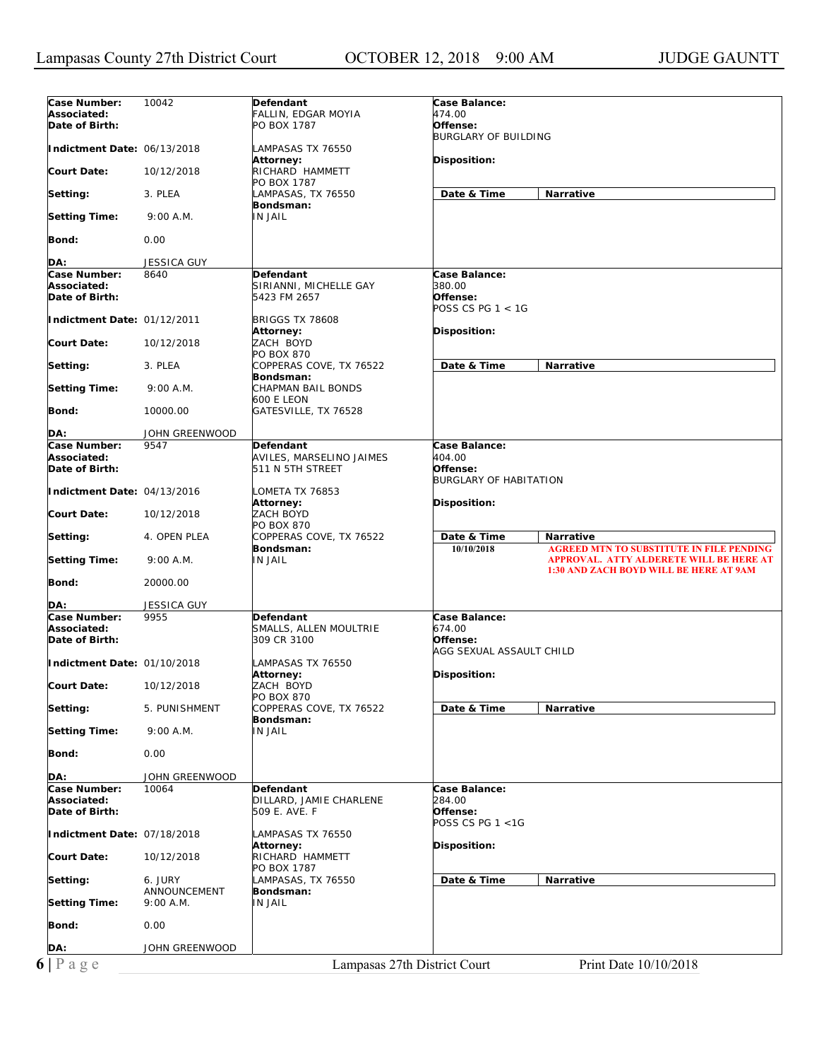| Case Number:                                                                 | 10042                      | Defendant                              | Case Balance:                 |                                                                                            |
|------------------------------------------------------------------------------|----------------------------|----------------------------------------|-------------------------------|--------------------------------------------------------------------------------------------|
| Associated:                                                                  |                            | FALLIN, EDGAR MOYIA                    | 474.00                        |                                                                                            |
| Date of Birth:                                                               |                            | PO BOX 1787                            | Offense:                      |                                                                                            |
|                                                                              |                            |                                        | <b>BURGLARY OF BUILDING</b>   |                                                                                            |
| Indictment Date: 06/13/2018                                                  |                            | LAMPASAS TX 76550<br>Attorney:         | <b>Disposition:</b>           |                                                                                            |
| Court Date:                                                                  | 10/12/2018                 | RICHARD HAMMETT                        |                               |                                                                                            |
| Setting:                                                                     | 3. PLEA                    | PO BOX 1787<br>LAMPASAS, TX 76550      | Date & Time                   | Narrative                                                                                  |
|                                                                              |                            | Bondsman:                              |                               |                                                                                            |
| <b>Setting Time:</b>                                                         | 9:00 A.M.                  | IN JAIL                                |                               |                                                                                            |
| Bond:                                                                        | 0.00                       |                                        |                               |                                                                                            |
| DA:                                                                          | <b>JESSICA GUY</b>         |                                        |                               |                                                                                            |
| Case Number:                                                                 | 8640                       | Defendant                              | Case Balance:                 |                                                                                            |
| Associated:<br>Date of Birth:                                                |                            | SIRIANNI, MICHELLE GAY<br>5423 FM 2657 | 380.00<br>Offense:            |                                                                                            |
|                                                                              |                            |                                        | POSS CS PG 1 < 1G             |                                                                                            |
| Indictment Date: 01/12/2011                                                  |                            | <b>BRIGGS TX 78608</b>                 |                               |                                                                                            |
|                                                                              |                            | Attorney:                              | Disposition:                  |                                                                                            |
| Court Date:                                                                  | 10/12/2018                 | ZACH BOYD                              |                               |                                                                                            |
| Setting:                                                                     | 3. PLEA                    | PO BOX 870<br>COPPERAS COVE, TX 76522  | Date & Time                   | <b>Narrative</b>                                                                           |
|                                                                              |                            | Bondsman:                              |                               |                                                                                            |
| <b>Setting Time:</b>                                                         | 9:00 A.M.                  | CHAPMAN BAIL BONDS<br>600 E LEON       |                               |                                                                                            |
| Bond:                                                                        | 10000.00                   | GATESVILLE, TX 76528                   |                               |                                                                                            |
| DA:                                                                          | JOHN GREENWOOD             |                                        |                               |                                                                                            |
| Case Number:                                                                 | 9547                       | Defendant                              | Case Balance:                 |                                                                                            |
| Associated:                                                                  |                            | AVILES, MARSELINO JAIMES               | 404.00                        |                                                                                            |
| Date of Birth:                                                               |                            | 511 N 5TH STREET                       | Offense:                      |                                                                                            |
| Indictment Date: 04/13/2016                                                  |                            | LOMETA TX 76853                        | <b>BURGLARY OF HABITATION</b> |                                                                                            |
|                                                                              |                            | Attorney:                              | Disposition:                  |                                                                                            |
| Court Date:                                                                  | 10/12/2018                 | <b>ZACH BOYD</b><br>PO BOX 870         |                               |                                                                                            |
| Setting:                                                                     | 4. OPEN PLEA               | COPPERAS COVE, TX 76522                | Date & Time                   | <b>Narrative</b>                                                                           |
| <b>Setting Time:</b>                                                         | 9:00 A.M.                  | Bondsman:<br><b>IN JAIL</b>            | 10/10/2018                    | <b>AGREED MTN TO SUBSTITUTE IN FILE PENDING</b><br>APPROVAL. ATTY ALDERETE WILL BE HERE AT |
| Bond:                                                                        | 20000.00                   |                                        |                               | <b>1:30 AND ZACH BOYD WILL BE HERE AT 9AM</b>                                              |
|                                                                              |                            |                                        |                               |                                                                                            |
| DA:<br>Case Number:                                                          | <b>JESSICA GUY</b><br>9955 | <b>Defendant</b>                       | Case Balance:                 |                                                                                            |
| Associated:                                                                  |                            | SMALLS, ALLEN MOULTRIE                 | 674.00                        |                                                                                            |
| Date of Birth:                                                               |                            | 309 CR 3100                            | Offense:                      |                                                                                            |
|                                                                              |                            |                                        | AGG SEXUAL ASSAULT CHILD      |                                                                                            |
| Indictment Date: 01/10/2018                                                  |                            | LAMPASAS TX 76550                      |                               |                                                                                            |
| <b>Court Date:</b>                                                           | 10/12/2018                 | Attorney:<br>ZACH BOYD                 | Disposition:                  |                                                                                            |
|                                                                              |                            | PO BOX 870                             |                               |                                                                                            |
| Setting:                                                                     | 5. PUNISHMENT              | COPPERAS COVE, TX 76522                | Date & Time                   | Narrative                                                                                  |
| <b>Setting Time:</b>                                                         | 9:00 A.M.                  | Bondsman:<br><b>IN JAIL</b>            |                               |                                                                                            |
|                                                                              |                            |                                        |                               |                                                                                            |
| Bond:                                                                        | 0.00                       |                                        |                               |                                                                                            |
| DA:                                                                          | JOHN GREENWOOD             |                                        |                               |                                                                                            |
| Case Number:                                                                 | 10064                      | Defendant                              | Case Balance:                 |                                                                                            |
| Associated:                                                                  |                            | DILLARD, JAMIE CHARLENE                | 284.00                        |                                                                                            |
| Date of Birth:                                                               |                            | 509 E. AVE. F                          | Offense:                      |                                                                                            |
|                                                                              |                            |                                        | POSS CS PG 1 <1G              |                                                                                            |
| Indictment Date: 07/18/2018                                                  |                            | LAMPASAS TX 76550<br>Attorney:         | Disposition:                  |                                                                                            |
| <b>Court Date:</b>                                                           | 10/12/2018                 | RICHARD HAMMETT                        |                               |                                                                                            |
|                                                                              |                            | PO BOX 1787                            |                               |                                                                                            |
|                                                                              | 6. JURY                    | LAMPASAS, TX 76550                     | Date & Time                   | Narrative                                                                                  |
|                                                                              |                            |                                        |                               |                                                                                            |
|                                                                              | ANNOUNCEMENT<br>9:00 A.M.  | Bondsman:<br>IN JAIL                   |                               |                                                                                            |
|                                                                              |                            |                                        |                               |                                                                                            |
|                                                                              | 0.00                       |                                        |                               |                                                                                            |
| Setting:<br><b>Setting Time:</b><br><b>Bond:</b><br>DA:<br>$6 P \text{ age}$ | JOHN GREENWOOD             |                                        |                               |                                                                                            |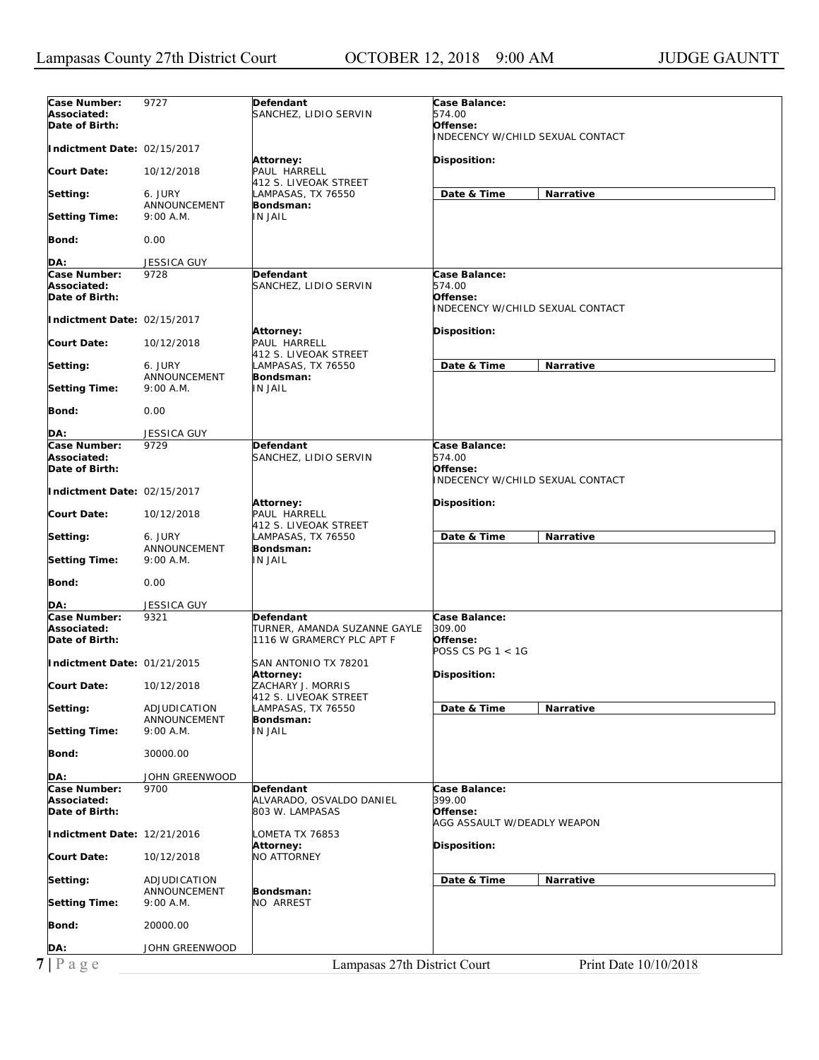| Case Number:                | 9727               | Defendant                    | Case Balance:                    |
|-----------------------------|--------------------|------------------------------|----------------------------------|
|                             |                    |                              |                                  |
| Associated:                 |                    | SANCHEZ, LIDIO SERVIN        | 574.00                           |
| Date of Birth:              |                    |                              | Offense:                         |
|                             |                    |                              | INDECENCY W/CHILD SEXUAL CONTACT |
| Indictment Date: 02/15/2017 |                    |                              |                                  |
|                             |                    | Attorney:                    | Disposition:                     |
| Court Date:                 | 10/12/2018         | PAUL HARRELL                 |                                  |
|                             |                    | 412 S. LIVEOAK STREET        |                                  |
| Setting:                    | 6. JURY            | LAMPASAS, TX 76550           | Narrative<br>Date & Time         |
|                             | ANNOUNCEMENT       | Bondsman:                    |                                  |
| <b>Setting Time:</b>        | 9:00 A.M.          | <b>IN JAIL</b>               |                                  |
|                             |                    |                              |                                  |
| Bond:                       | 0.00               |                              |                                  |
|                             |                    |                              |                                  |
| DA:                         | JESSICA GUY        |                              |                                  |
| Case Number:                | 9728               | <b>Defendant</b>             | Case Balance:                    |
| Associated:                 |                    | SANCHEZ, LIDIO SERVIN        | 574.00                           |
| Date of Birth:              |                    |                              | Offense:                         |
|                             |                    |                              | INDECENCY W/CHILD SEXUAL CONTACT |
| Indictment Date: 02/15/2017 |                    |                              |                                  |
|                             |                    | Attorney:                    | Disposition:                     |
| Court Date:                 | 10/12/2018         | PAUL HARRELL                 |                                  |
|                             |                    | 412 S. LIVEOAK STREET        |                                  |
| Setting:                    | 6. JURY            | LAMPASAS, TX 76550           | Date & Time<br>Narrative         |
|                             | ANNOUNCEMENT       | Bondsman:                    |                                  |
| <b>Setting Time:</b>        | 9:00 A.M.          | IN JAIL                      |                                  |
|                             |                    |                              |                                  |
| Bond:                       | 0.00               |                              |                                  |
|                             |                    |                              |                                  |
| DA:                         | <b>JESSICA GUY</b> |                              |                                  |
| Case Number:                | 9729               | <b>Defendant</b>             | Case Balance:                    |
| Associated:                 |                    | SANCHEZ, LIDIO SERVIN        | 574.00                           |
| Date of Birth:              |                    |                              | Offense:                         |
|                             |                    |                              | INDECENCY W/CHILD SEXUAL CONTACT |
| Indictment Date: 02/15/2017 |                    |                              |                                  |
|                             |                    | Attorney:                    | Disposition:                     |
| Court Date:                 | 10/12/2018         | PAUL HARRELL                 |                                  |
|                             |                    | 412 S. LIVEOAK STREET        |                                  |
| Setting:                    | 6. JURY            | LAMPASAS, TX 76550           | Date & Time<br>Narrative         |
|                             | ANNOUNCEMENT       | Bondsman:                    |                                  |
| <b>Setting Time:</b>        | 9:00 A.M.          | <b>IN JAIL</b>               |                                  |
|                             |                    |                              |                                  |
| Bond:                       | 0.00               |                              |                                  |
|                             |                    |                              |                                  |
| DA:                         | <b>JESSICA GUY</b> |                              |                                  |
| Case Number:                | 9321               | <b>Defendant</b>             | Case Balance:                    |
| Associated:                 |                    | TURNER, AMANDA SUZANNE GAYLE | 309.00                           |
| Date of Birth:              |                    | 1116 W GRAMERCY PLC APT F    | Offense:                         |
|                             |                    |                              | POSS CS PG 1 < 1G                |
|                             |                    |                              |                                  |
| Indictment Date: 01/21/2015 |                    | SAN ANTONIO TX 78201         |                                  |
|                             |                    | Attorney:                    | Disposition:                     |
| <b>Court Date:</b>          | 10/12/2018         | ZACHARY J. MORRIS            |                                  |
|                             |                    | 412 S. LIVEOAK STREET        |                                  |
| Setting:                    | ADJUDICATION       | LAMPASAS, TX 76550           | Date & Time<br>Narrative         |
|                             | ANNOUNCEMENT       | Bondsman:                    |                                  |
| Setting Time:               | 9:00 A.M.          | IN JAIL                      |                                  |
|                             |                    |                              |                                  |
| Bond:                       | 30000.00           |                              |                                  |
|                             |                    |                              |                                  |
| DA:                         | JOHN GREENWOOD     |                              |                                  |
| Case Number:                | 9700               | Defendant                    | Case Balance:                    |
| Associated:                 |                    | ALVARADO, OSVALDO DANIEL     | 399.00                           |
| Date of Birth:              |                    | 803 W. LAMPASAS              | Offense:                         |
|                             |                    |                              | AGG ASSAULT W/DEADLY WEAPON      |
| Indictment Date: 12/21/2016 |                    | LOMETA TX 76853              |                                  |
|                             |                    | Attorney:                    | Disposition:                     |
| <b>Court Date:</b>          | 10/12/2018         | <b>NO ATTORNEY</b>           |                                  |
|                             |                    |                              |                                  |
| Setting:                    | ADJUDICATION       |                              | Date & Time<br>Narrative         |
|                             | ANNOUNCEMENT       | Bondsman:                    |                                  |
| <b>Setting Time:</b>        | 9:00 A.M.          | NO ARREST                    |                                  |
|                             |                    |                              |                                  |
| Bond:                       | 20000.00           |                              |                                  |
|                             |                    |                              |                                  |
| DA:                         | JOHN GREENWOOD     |                              |                                  |
|                             |                    |                              |                                  |
| $7$   Page                  |                    | Lampasas 27th District Court | Print Date 10/10/2018            |